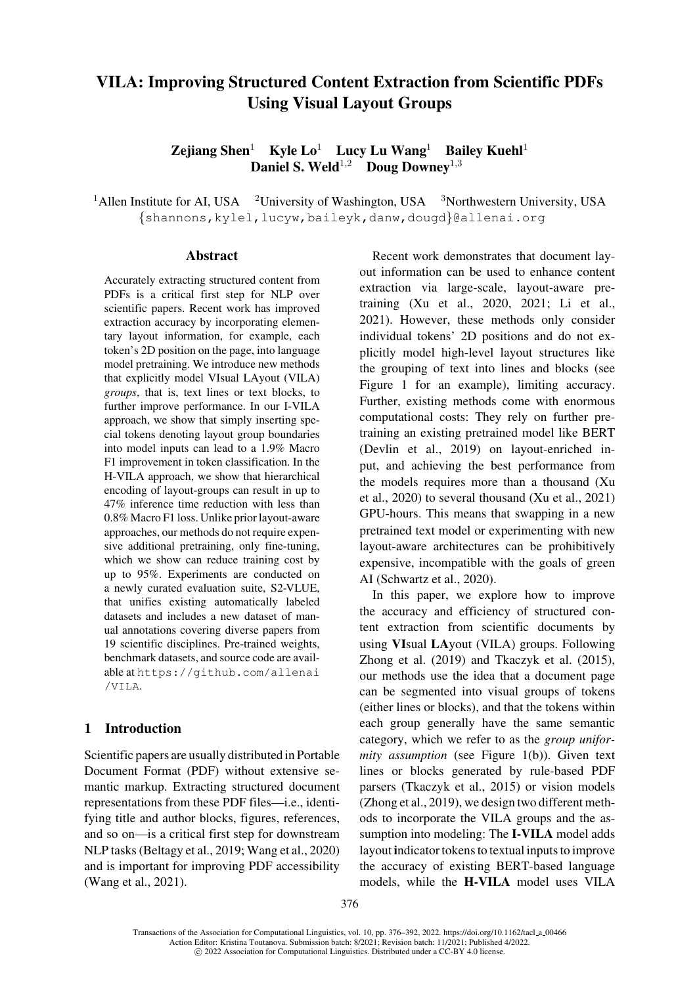# VILA: Improving Structured Content Extraction from Scientific PDFs Using Visual Layout Groups

Zejiang Shen<sup>1</sup> Kyle Lo<sup>1</sup> Lucy Lu Wang<sup>1</sup> Bailey Kuehl<sup>1</sup> Daniel S. Weld<sup>1,2</sup> Doug Downey<sup>1,3</sup>

<sup>1</sup>Allen Institute for AI, USA <sup>2</sup>University of Washington, USA <sup>3</sup>Northwestern University, USA {shannons,kylel,lucyw,baileyk,danw,dougd}@allenai.org

#### Abstract

Accurat[ely](mailto:shannons@allenai.org) [extracting](mailto:shannons@allenai.org) [structured](mailto:kylel@allenai.org) [content f](mailto:lucyw@allenai.org)r[om](mailto:baileyk@allenai.org) PDFs is a critical first step for NLP over scientific papers. Recent work has improved extraction accuracy by incorporating elementary layout information, for example, each token's 2D position on the page, into language model pretraining. We introduce new methods that explicitly model VIsual LAyout (VILA) *groups*, that is, text lines or text blocks, to further improve performance. In our I-VILA approach, we show that simply inserting special tokens denoting layout group boundaries into model inputs can lead to a 1.9% Macro F1 improvement in token classification. In the H-VILA approach, we show that hierarchical encoding of layout-groups can result in up to 47% inference time reduction with less than 0.8% Macro F1 loss. Unlike prior layout-aware approaches, our methods do not require expensive additional pretraining, only fine-tuning, which we show can reduce training cost by up to 95%. Experiments are conducted on a newly curated evaluation suite, S2-VLUE, that unifies existing automatically labeled datasets and includes a new dataset of manual annotations covering diverse papers from 19 scientific disciplines. Pre-trained weights, benchmark datasets, and source code are available at https://github.com/allenai /VILA.

## 1 Intr[oduction](https://github.com/allenai/VILA)

Sci[entific](https://github.com/allenai/VILA) [p](https://github.com/allenai/VILA)apers are usually distributed in Portable Document Format (PDF) without extensive semantic markup. Extracting structured document representations from these PDF files—i.e., identifying title and author blocks, figures, references, and so on—is a critical first step for downstream NLP tasks (Beltagy et al., 2019; Wang et al., 2020) and is important for improving PDF accessibility (Wang et al., 2021).

Recent work demonstrates that document layo[ut info](mailto:danw@allenai.org)r[mation c](mailto:dougd@allenai.org)an be used to enhance content extraction via large-scale, layout-aware pretraining (Xu et al., 2020, 2021; Li et al., 2021). However, these methods only consider individual tokens' 2D positions and do not explicitly [model high-l](#page-13-1)e[vel la](#page-13-1)y[out st](#page-13-2)r[uctures like](#page-12-0) [the g](#page-12-0)rouping of text into lines and blocks (see Figure 1 for an example), limiting accuracy. Further, existing methods come with enormous computational costs: They rely on further pretraining an existing pretrained model like BERT [\(Devlin](#page-1-0) [e](#page-1-0)t al., 2019) on layout-enriched input, and achieving the best performance from the models requires more than a thousand (Xu [et al., 2020\) to](#page-11-0) s[everal](#page-11-0) thousand (Xu et al., 2021) GPU-hours. This means that swapping in a new pretrained text model or experimenting with new layou[t-awar](#page-13-1)e architectures can [be prohibitivel](#page-13-2)[y](#page-13-3) [expen](#page-13-3)sive, incompatible with the goals of green AI (Schwartz et al., 2020).

In this paper, we explore how to improve the accuracy and efficiency of structured content [extraction from sc](#page-12-1)ientific documents by using VIsual LAyout (VILA) groups. Following Zhong et al. (2019) and Tkaczyk et al. (2015), our methods use the idea that a document page can be segmented into visual groups of tokens (either lines or blocks), and that the tokens within [each](#page-14-0) [group](#page-14-0) g[enera](#page-14-0)lly h[ave](#page-13-4) [the](#page-13-4) [same](#page-13-4) [s](#page-13-4)e[manti](#page-13-4)c category, which we refer to as the *group uniformity assumption* (see Figure 1(b)). Given text lines or blocks generated by rule-based PDF parsers (Tkaczyk et al., 2015) or vision models (Zhong et al., 2019), we design two different methods to incorporate the [VILA](#page-1-0) [group](#page-1-0)s and the assumption into modeling: The I-VILA model adds layout i[ndicator](#page-13-4) [tokens](#page-13-4) [to](#page-13-4) [textua](#page-13-4)l inputs to improve [the](#page-14-0) [accuracy](#page-14-0) [of](#page-14-0) [e](#page-14-0)xisting BERT-based language models, while the H-VILA model uses VILA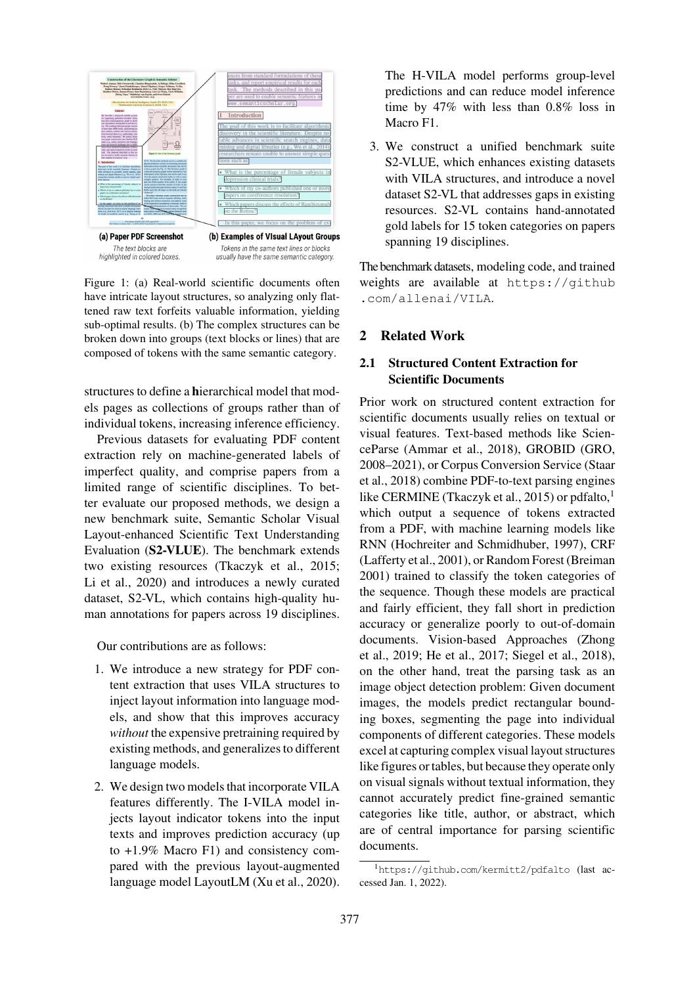

Figure 1: (a) Real-world scientific documents often have intricate layout structures, so analyzing only flattened raw text forfeits valuable information, yielding sub-optimal results. (b) The complex structures can be broken down into groups (text blocks or lines) that are composed of tokens with the same semantic category.

<span id="page-1-0"></span>structures to define a hierarchical model that models pages as collections of groups rather than of individual tokens, increasing inference efficiency.

Previous datasets for evaluating PDF content extraction rely on machine-generated labels of imperfect quality, and comprise papers from a limited range of scientific disciplines. To better evaluate our proposed methods, we design a new benchmark suite, Semantic Scholar Visual Layout-enhanced Scientific Text Understanding Evaluation (S2-VLUE). The benchmark extends two existing resources (Tkaczyk et al., 2015; Li et al., 2020) and introduces a newly curated dataset, S2-VL, which contains high-quality human annotations for pape[rs across 19 disc](#page-13-4)i[plines](#page-13-4).

[Our](#page-11-1) [contribu](#page-11-1)tions are as follows:

- 1. We introduce a new strategy for PDF content extraction that uses VILA structures to inject layout information into language models, and show that this improves accuracy *without* the expensive pretraining required by existing methods, and generalizes to different language models.
- 2. We design two models that incorporate VILA features differently. The I-VILA model injects layout indicator tokens into the input texts and improves prediction accuracy (up to +1.9% Macro F1) and consistency compared with the previous layout-augmented language model LayoutLM (Xu et al., 2020).

The H-VILA model performs group-level predictions and can reduce model inference time by 47% with less than 0.8% loss in Macro F1.

3. We construct a unified benchmark suite S2-VLUE, which enhances existing datasets with VILA structures, and introduce a novel dataset S2-VL that addresses gaps in existing resources. S2-VL contains hand-annotated gold labels for 15 token categories on papers spanning 19 disciplines.

The benchmark datasets, modeling code, and trained weights are available at https://github .com/allenai/VILA.

## 2 Related Work

# [2.1](https://github.com/allenai/VILA) [Structured](https://github.com/allenai/VILA) [Conten](https://github.com/allenai/VILA)t Extraction for Scientific Documents

Prior work on structured content extraction for scientific documents usually relies on textual or visual features. Text-based methods like ScienceParse (Ammar et al., 2018), GROBID (GRO, 2008–2021), or Corpus Conversion Service (Staar et al., 2018) combine PDF-to-text parsing engines like CERMINE (Tkaczyk et al., 2015) or pdfalto, $<sup>1</sup>$ </sup> which o[utput](#page-11-2) [a](#page-11-2) [sequence](#page-11-2) [o](#page-11-2)f tokens ext[racted](#page-11-3) [from](#page-11-3) [a](#page-11-3) [PDF](#page-11-3), with machine learning model[s](#page-13-5) [like](#page-13-5) [RNN](#page-13-5) [\(Hoc](#page-13-6)hreiter and Schmidhuber, 1997), CR[F](#page-1-1) (Lafferty et al., 2[001\),](#page-13-4) [or](#page-13-4) [Random](#page-13-4) [Fore](#page-13-4)st (Breiman 2001) trained to classify the token categories of the sequence. Though these models are practical and fa[irly](#page-11-4) [efficient,](#page-11-4) [they](#page-11-4) [fall](#page-11-4) [short](#page-11-4) i[n](#page-11-4) [pred](#page-11-4)iction [accuracy](#page-11-5) [or](#page-11-5) [general](#page-11-5)ize poorly to out-o[f-domain](#page-11-6) [docum](#page-11-6)ents. Vision-based Approaches (Zhong et al., 2019; He et al., 2017; Siegel et al., 2018), on the other hand, treat the parsing task as an image object detection problem: Given document images, the models predict rectangular [bound](#page-14-1)[ing](#page-14-1) [b](#page-14-1)[oxes,](#page-14-0) [segmenting](#page-11-7) [the](#page-11-7) [page](#page-13-7) [into](#page-13-7) [individua](#page-13-7)l components of different categories. These models excel at capturing complex visual layout structures like figures or tables, but because they operate only on visual signals without textual information, they cannot accurately predict fine-grained semantic categories like title, author, or abstract, which are of central importance for parsing scientific documents.

<span id="page-1-1"></span><sup>1</sup>https://github.com/kermitt2/pdfalto (last accessed Jan. 1, 2022).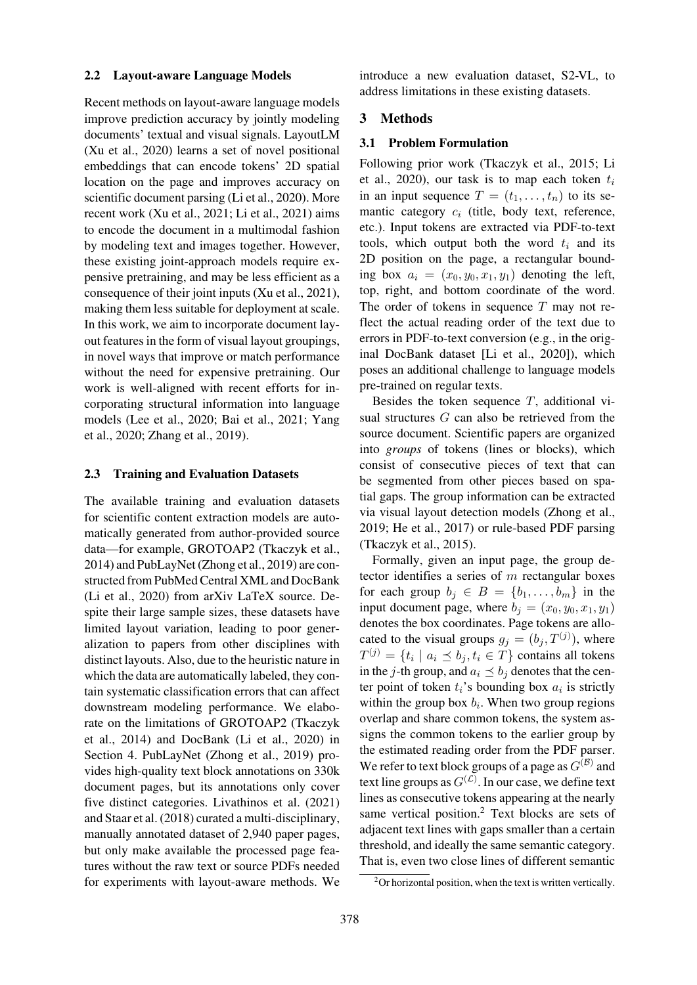#### 2.2 Layout-aware Language Models

Recent methods on layout-aware language models improve prediction accuracy by jointly modeling documents' textual and visual signals. LayoutLM (Xu et al., 2020) learns a set of novel positional embeddings that can encode tokens' 2D spatial location on the page and improves accuracy on scientific document parsing (Li et al., 2020). More [recent](#page-13-1) [wo](#page-13-1)r[k](#page-13-1) [\(Xu](#page-13-1) et al., 2021; Li et al., 2021) aims to encode the document in a multimodal fashion by modeling text and images together. However, these existin[g joint-approac](#page-13-2)[h](#page-11-1)[mode](#page-11-1)[ls](#page-12-0) [req](#page-11-1)[ui](#page-12-0)re expensive pretraining, and may be less efficient as a consequence of their joint inputs (Xu et al., 2021), making them less suitable for deployment at scale. In this work, we aim to incorporate document layout features in the form of visual layout groupings, in novel ways that improve or ma[tch](#page-13-2) [performanc](#page-13-2)e without the need for expensive pretraining. Our work is well-aligned with recent efforts for incorporating structural information into language models (Lee et al., 2020; Bai et al., 2021; Yang et al., 2020; Zhang et al., 2019).

#### 2.3 Tr[aining and Eval](#page-11-8)[uation Datasets](#page-11-9)

[The](#page-13-8) [a](#page-13-8)[vaila](#page-13-9)[ble](#page-14-2) [training](#page-14-2) [and](#page-14-2) [e](#page-14-2)valuation datasets for scientific content extraction models are automatically generated from author-provided source data—for example, GROTOAP2 (Tkaczyk et al., 2014) and PubLayNet (Zhong et al., 2019) are constructed from PubMed Central XML and DocBank (Li et al., 2020) from arXiv LaTeX source. De[spite](#page-13-10) their large sampl[e sizes, thes](#page-14-0)[e](#page-13-10)[datasets](#page-13-10) [have](#page-13-10) limited layout variation, leading to poor generalization to papers from other disciplines with [distinct](#page-11-1) [layouts.](#page-11-1) Also, due to the heuristic nature in which the data are automatically labeled, they contain systematic classification errors that can affect downstream modeling performance. We elaborate on the limitations of GROTOAP2 (Tkaczyk et al., 2014) and DocBank (Li et al., 2020) in Section 4. PubLayNet (Zhong et al., 2019) provides high-quality text block annotations on 330k docum[ent p](#page-13-10)ages, but its ann[otations on](#page-11-1)[ly](#page-13-11)[cover](#page-13-11) [five](#page-13-11) [d](#page-13-11)istinct categories. [Livathinos et al. \(](#page-14-0)2021) and Sta[ar](#page-4-0) [e](#page-4-0)t al. (2018) curated a multi-disciplinary, manually annotated dataset of 2,940 paper pages, but only make available the processed page features without the raw te[xt](#page-12-2) [or](#page-12-2) [source](#page-12-2) [PDFs](#page-12-2) [needed](#page-12-2) for [experimen](#page-13-6)t[s](#page-13-6) [with](#page-13-6) layout-aware methods. We introduce a new evaluation dataset, S2-VL, to address limitations in these existing datasets.

#### 3 Methods

#### 3.1 Problem Formulation

Following prior work (Tkaczyk et al., 2015; Li et al., 2020), our task is to map each token  $t_i$ in an input sequence  $T = (t_1, \ldots, t_n)$  to its semantic category  $c_i$  (title, body text, reference, etc.). Input tokens are [extracted](#page-13-4) [via](#page-13-4) [PDF-to-](#page-13-4)t[ext](#page-11-10) [tools,](#page-11-10) [which](#page-11-1) output both the word  $t_i$  and its 2D position on the page, a rectangular bounding box  $a_i = (x_0, y_0, x_1, y_1)$  denoting the left, top, right, and bottom coordinate of the word. The order of tokens in sequence  $T$  may not reflect the actual reading order of the text due to errors in PDF-to-text conversion (e.g., in the original DocBank dataset [Li et al., 2020]), which poses an additional challenge to language models pre-trained on regular texts.

Besides the token sequence  $T$ , additional visual structures G can a[lso](#page-11-1) [be](#page-11-1) [ret](#page-11-1)r[ieved](#page-11-1) from the source document. Scientific papers are organized into *groups* of tokens (lines or blocks), which consist of consecutive pieces of text that can be segmented from other pieces based on spatial gaps. The group information can be extracted via visual layout detection models (Zhong et al., 2019; He et al., 2017) or rule-based PDF parsing (Tkaczyk et al., 2015).

Formally, given an input page, the group detector identifies [a ser](#page-11-7)ies of  $m$  rect[angular](#page-14-0) [boxes](#page-14-0) [for](#page-14-0) [e](#page-14-0)[ach](#page-11-7) [group](#page-11-7)  $b_j \in B = \{b_1, \ldots, b_m\}$  in the [input](#page-13-4) [documen](#page-13-4)t [page](#page-13-4), where  $b_j = (x_0, y_0, x_1, y_1)$ denotes the box coordinates. Page tokens are allocated to the visual groups  $g_j = (b_j, T^{(j)})$ , where  $T^{(j)} = \{t_i \mid a_i \leq b_j, t_i \in T\}$  contains all tokens in the j-th group, and  $a_i \preceq b_j$  denotes that the center point of token  $t_i$ 's bounding box  $a_i$  is strictly within the group box  $b_i$ . When two group regions overlap and share common tokens, the system assigns the common tokens to the earlier group by the estimated reading order from the PDF parser. We refer to text block groups of a page as  $G^{(\mathcal{B})}$  and text line groups as  $G^{(\mathcal{L})}$ . In our case, we define text lines as consecutive tokens appearing at the nearly same vertical position.<sup>2</sup> Text blocks are sets of adjacent text lines with gaps smaller than a certain threshold, and ideally the same semantic category. That is, even two close [li](#page-2-0)nes of different semantic

<span id="page-2-0"></span><sup>&</sup>lt;sup>2</sup>Or horizontal position, when the text is written vertically.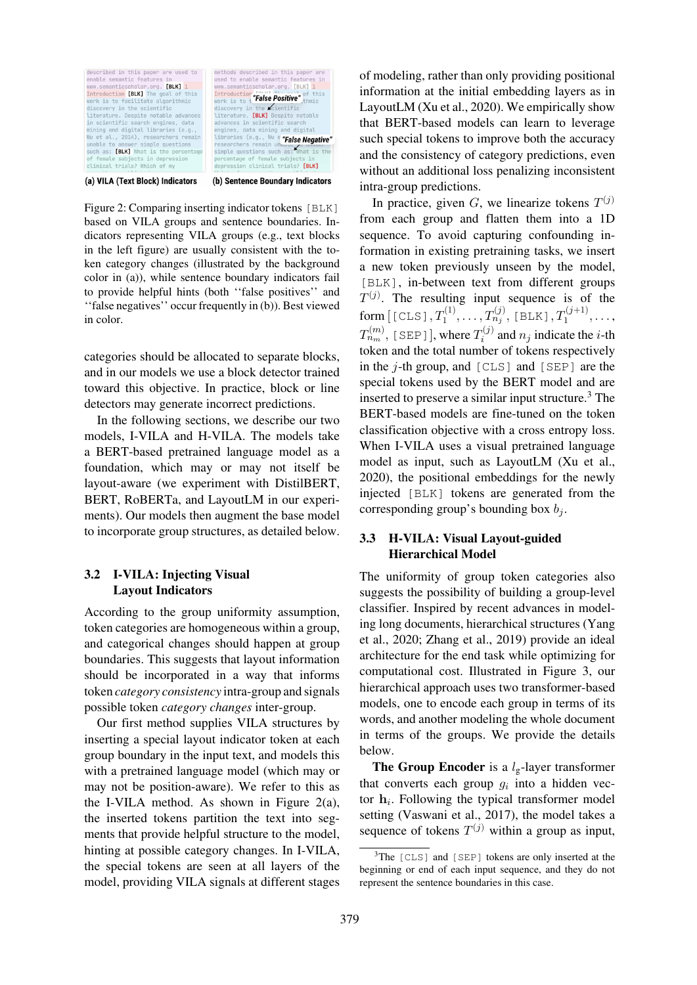

(a) VILA (Text Block) Indicators

(b) Sentence Boundary Indicators

<span id="page-3-0"></span>Figure 2: Comparing inserting indicator tokens [BLK] based on VILA groups and sentence boundaries. Indicators representing VILA groups (e.g., text blocks in the left figure) are usually consistent with the token category changes (illustrated by the background color in (a)), while sentence boundary indicators fail to provide helpful hints (both ''false positives'' and ''false negatives'' occur frequently in (b)). Best viewed in color.

categories should be allocated to separate blocks, and in our models we use a block detector trained toward this objective. In practice, block or line detectors may generate incorrect predictions.

In the following sections, we describe our two models, I-VILA and H-VILA. The models take a BERT-based pretrained language model as a foundation, which may or may not itself be layout-aware (we experiment with DistilBERT, BERT, RoBERTa, and LayoutLM in our experiments). Our models then augment the base model to incorporate group structures, as detailed below.

# 3.2 I-VILA: Injecting Visual Layout Indicators

According to the group uniformity assumption, token categories are homogeneous within a group, and categorical changes should happen at group boundaries. This suggests that layout information should be incorporated in a way that informs token *category consistency* intra-group and signals possible token *category changes* inter-group.

Our first method supplies VILA structures by inserting a special layout indicator token at each group boundary in the input text, and models this with a pretrained language model (which may or may not be position-aware). We refer to this as the I-VILA method. As shown in Figure  $2(a)$ , the inserted tokens partition the text into segments that provide helpful structure to the model, hinting at possible category changes. In I-VILA, the special tokens are seen at all l[ayers](#page-3-0) [of](#page-3-0) [the](#page-3-0) model, providing VILA signals at different stages of modeling, rather than only providing positional information at the initial embedding layers as in LayoutLM (Xu et al., 2020). We empirically show that BERT-based models can learn to leverage such special tokens to improve both the accuracy and the consistency of category predictions, even without an [additional](#page-13-1) [loss](#page-13-1) penalizing inconsistent intra-group predictions.

In practice, given G, we linearize tokens  $T^{(j)}$ from each group and flatten them into a 1D sequence. To avoid capturing confounding information in existing pretraining tasks, we insert a new token previously unseen by the model, [BLK], in-between text from different groups  $T^{(j)}$ . The resulting input sequence is of the  $\mathop{\mathrm{form}}\limits \,[\,[\, \mathop{\mathbb{C}}\mathop{\mathrm{LS}}\nolimits]\,, T^{(1)}_1, \ldots, T^{(j)}_{n_j},\, [\,\mathop{\mathrm{BLK}}\nolimits]\,, T^{(j+1)}_1, \ldots,$  $T_{n_m}^{(m)}$ , [SEP]], where  $T_i^{(j)}$  and  $n_j$  indicate the *i*-th token and the total number of tokens respectively in the  $j$ -th group, and  $[CLS]$  and  $[SEP]$  are the special tokens used by the BERT model and are inserted to preserve a similar input structure. $3$  The BERT-based models are fine-tuned on the token classification objective with a cross entropy loss. When I-VILA uses a visual pretrained lan[gu](#page-3-1)age model as input, such as LayoutLM (Xu et al., 2020), the positional embeddings for the newly injected [BLK] tokens are generated from the corresponding group's bounding box  $b_i$ [.](#page-13-1)

# [3.3](#page-13-1) H-VILA: Visual Layout-guided Hierarchical Model

<span id="page-3-2"></span>The uniformity of group token categories also suggests the possibility of building a group-level classifier. Inspired by recent advances in modeling long documents, hierarchical structures (Yang et al., 2020; Zhang et al., 2019) provide an ideal architecture for the end task while optimizing for computational cost. Illustrated in Figure 3, our hierar[chical](#page-13-9) [approach uses two t](#page-14-2)ransformer-[based](#page-13-8) [model](#page-13-8)s, one to encode each group in terms of its words, and another modeling the whole document in terms of the groups. We prov[ide](#page-4-1) [the](#page-4-1) [de](#page-4-1)tails below.

**The Group Encoder** is a  $l_g$ -layer transformer that converts each group  $q_i$  into a hidden vector  $\mathbf{h}_i$ . Following the typical transformer model setting (Vaswani et al., 2017), the model takes a sequence of tokens  $T^{(j)}$  within a group as input,

<span id="page-3-1"></span><sup>&</sup>lt;sup>3</sup>The [CLS] and [SEP] tokens are only inserted at the beginnin[g or end of each input seq](#page-13-12)uence, and they do not represent the sentence boundaries in this case.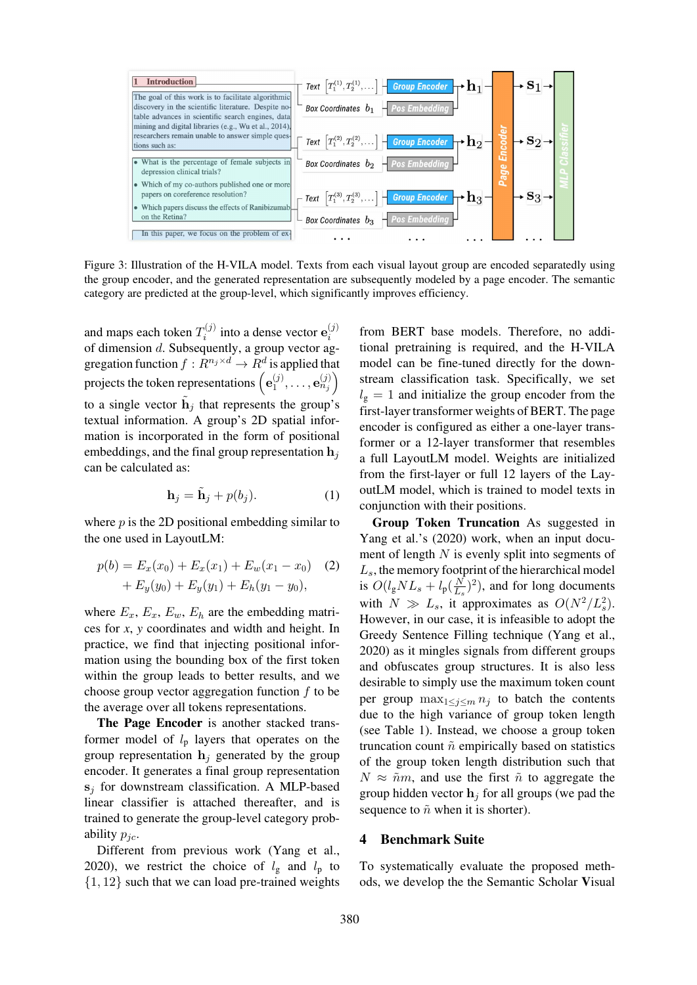

Figure 3: Illustration of the H-VILA model. Texts from each visual layout group are encoded separatedly using the group encoder, and the generated representation are subsequently modeled by a page encoder. The semantic category are predicted at the group-level, which significantly improves efficiency.

<span id="page-4-1"></span>and maps each token  $T_i^{(j)}$  into a dense vector  $\mathbf{e}_i^{(j)}$ of dimension d. Subsequently, a group vector aggregation function  $f: R^{n_j \times d} \to R^d$  is applied that projects the token representations  $\left(\mathbf{e}_1^{(j)},\ldots,\mathbf{e}_{n_j}^{(j)}\right)$ to a single vector  $\mathbf{h}_j$  that represents the group's textual information. A group's 2D spatial information is incorporated in the form of positional embeddings, and the final group representation  $\mathbf{h}_i$ can be calculated as:

$$
\mathbf{h}_j = \tilde{\mathbf{h}}_j + p(b_j). \tag{1}
$$

where  $p$  is the 2D positional embedding similar to the one used in LayoutLM:

$$
p(b) = E_x(x_0) + E_x(x_1) + E_w(x_1 - x_0)
$$
 (2)  
+  $E_y(y_0) + E_y(y_1) + E_h(y_1 - y_0)$ ,

where  $E_x$ ,  $E_x$ ,  $E_w$ ,  $E_h$  are the embedding matrices for *x*, *y* coordinates and width and height. In practice, we find that injecting positional information using the bounding box of the first token within the group leads to better results, and we choose group vector aggregation function  $f$  to be the average over all tokens representations.

The Page Encoder is another stacked transformer model of  $l_p$  layers that operates on the group representation  $h_j$  generated by the group encoder. It generates a final group representation **s**<sup>j</sup> for downstream classification. A MLP-based linear classifier is attached thereafter, and is trained to generate the group-level category probability  $p_{ic}$ .

Different from previous work (Yang et al., 2020), we restrict the choice of  $l_{\rm g}$  and  $l_{\rm p}$  to  $\{1, 12\}$  such that we can load pre-trained weights

from BERT base models. Therefore, no additional pretraining is required, and the H-VILA model can be fine-tuned directly for the downstream classification task. Specifically, we set  $l_{\rm g} = 1$  and initialize the group encoder from the first-layer transformer weights of BERT. The page encoder is configured as either a one-layer transformer or a 12-layer transformer that resembles a full LayoutLM model. Weights are initialized from the first-layer or full 12 layers of the LayoutLM model, which is trained to model texts in conjunction with their positions.

Group Token Truncation As suggested in Yang et al.'s (2020) work, when an input document of length  $N$  is evenly split into segments of  $L<sub>s</sub>$ , the memory footprint of the hierarchical model is  $O(l_gNL_s + l_p(\frac{N}{L_s})^2)$  $O(l_gNL_s + l_p(\frac{N}{L_s})^2)$  $O(l_gNL_s + l_p(\frac{N}{L_s})^2)$ , and for long documents w[it](#page-13-9)h  $N \gg L_s$ [,](#page-13-9) it approximates as  $O(N^2/L_s^2)$ . However, in our case, it is infeasible to adopt the Greedy Sentence Filling technique (Yang et al., 2020) as it mingles signals from different groups and obfuscates group structures. It is also less desirable to simply use the maximum token count per group  $\max_{1 \leq j \leq m} n_j$  to batch [the](#page-13-9) [contents](#page-13-9) [due](#page-13-9) [t](#page-13-9)o the high variance of group token length (see Table 1). Instead, we choose a group token truncation count  $\tilde{n}$  empirically based on statistics of the group token length distribution such that  $N \approx \tilde{n}m$ , and use the first  $\tilde{n}$  to aggregate the grou[p](#page-5-0) [hidden](#page-5-0) vector  $\mathbf{h}_i$  for all groups (we pad the sequence to  $\tilde{n}$  when it is shorter).

#### 4 Benchmark Suite

<span id="page-4-0"></span>To systematically evaluate the proposed methods, we develop the the Semantic Scholar Visual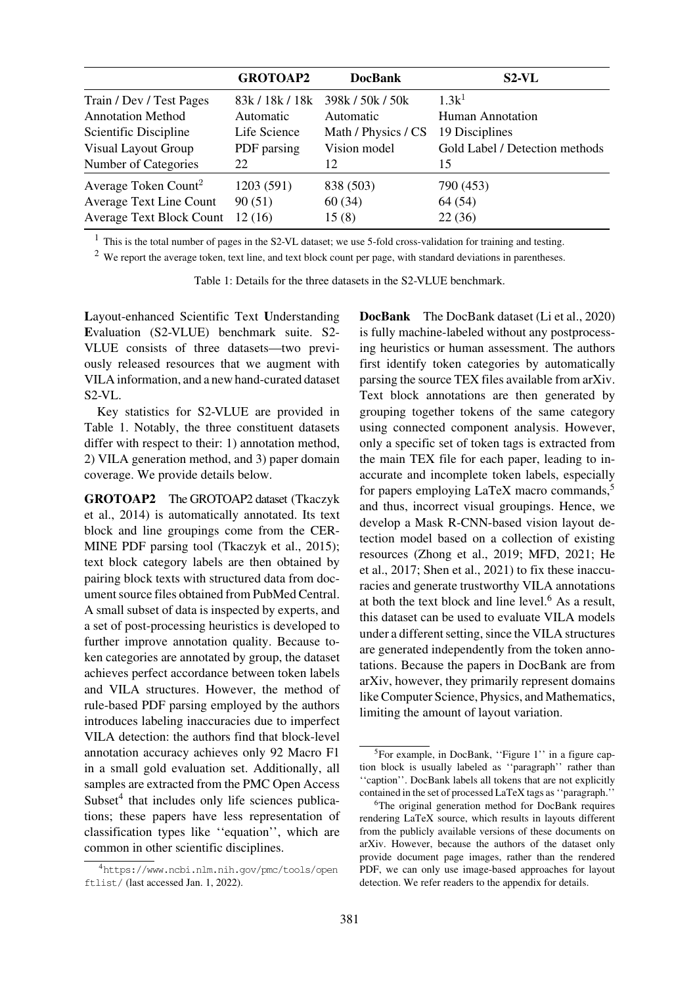|                                  | <b>GROTOAP2</b> | <b>DocBank</b>      | $S2-VL$                        |
|----------------------------------|-----------------|---------------------|--------------------------------|
| Train / Dev / Test Pages         | 83k / 18k / 18k | 398k / 50k / 50k    | $1.3k^1$                       |
| <b>Annotation Method</b>         | Automatic       | Automatic           | <b>Human Annotation</b>        |
| Scientific Discipline            | Life Science    | Math / Physics / CS | 19 Disciplines                 |
| <b>Visual Layout Group</b>       | PDF parsing     | Vision model        | Gold Label / Detection methods |
| Number of Categories             | 22              | 12                  | 15                             |
| Average Token Count <sup>2</sup> | 1203 (591)      | 838 (503)           | 790 (453)                      |
| <b>Average Text Line Count</b>   | 90(51)          | 60(34)              | 64 (54)                        |
| <b>Average Text Block Count</b>  | 12(16)          | 15(8)               | 22(36)                         |

<sup>1</sup> This is the total number of pages in the S2-VL dataset; we use 5-fold cross-validation for training and testing.

 $2$  We report the average token, text line, and text block count per page, with standard deviations in parentheses.

<span id="page-5-0"></span>Table 1: Details for the three datasets in the S2-VLUE benchmark.

Layout-enhanced Scientific Text Understanding Evaluation (S2-VLUE) benchmark suite. S2- VLUE consists of three datasets—two previously released resources that we augment with VILA information, and a new hand-curated dataset  $S2-VL$ .

Key statistics for S2-VLUE are provided in Table 1. Notably, the three constituent datasets differ with respect to their: 1) annotation method, 2) VILA generation method, and 3) paper domain [coverage](#page-5-0). We provide details below.

GROTOAP2 The GROTOAP2 dataset (Tkaczyk et al., 2014) is automatically annotated. Its text block and line groupings come from the CER-MINE PDF parsing tool (Tkaczyk et al., 2015); text block category labels are then obt[ained by](#page-13-11) [pairin](#page-13-11)[g](#page-13-10) [bloc](#page-13-10)k texts with structured data from document source files obtained from PubMed Central. A small subset of data is in[spected](#page-13-4) [by](#page-13-4) [experts,](#page-13-4) [an](#page-13-4)d a set of post-processing heuristics is developed to further improve annotation quality. Because token categories are annotated by group, the dataset achieves perfect accordance between token labels and VILA structures. However, the method of rule-based PDF parsing employed by the authors introduces labeling inaccuracies due to imperfect VILA detection: the authors find that block-level annotation accuracy achieves only 92 Macro F1 in a small gold evaluation set. Additionally, all samples are extracted from the PMC Open Access Subset $<sup>4</sup>$  that includes only life sciences publica-</sup> tions; these papers have less representation of classification types like ''equation'', which are comm[on](#page-5-1) in other scientific disciplines.

DocBank The DocBank dataset (Li et al., 2020) is fully machine-labeled without any postprocessing heuristics or human assessment. The authors first identify token categories by automatically parsing the source TEX files availa[ble](#page-11-1) [from](#page-11-1) [arXiv](#page-11-1). Text block annotations are then generated by grouping together tokens of the same category using connected component analysis. However, only a specific set of token tags is extracted from the main TEX file for each paper, leading to inaccurate and incomplete token labels, especially for papers employing LaTeX macro commands,<sup>5</sup> and thus, incorrect visual groupings. Hence, we develop a Mask R-CNN-based vision layout detection model based on a collection of existing resources (Zhong et al., 2019; MFD, 2021; [He](#page-5-2) et al., 2017; Shen et al., 2021) to fix these inaccuracies and generate trustworthy VILA annotations at both the text block and line level. $6$  As a result, this d[ataset](#page-11-7) [c](#page-14-0)[an be use](#page-12-3)[d](#page-14-0) [to e](#page-12-3)[valu](#page-14-0)[ate](#page-11-11) [VILA](#page-11-11) [mo](#page-11-11)[dels](#page-11-12) [under](#page-11-12) a different setting, since the VILA structures are generated independently from th[e](#page-5-3) token annotations. Because the papers in DocBank are from arXiv, however, they primarily represent domains like Computer Science, Physics, and Mathematics, limiting the amount of layout variation.

<span id="page-5-1"></span><sup>4</sup>https://www.ncbi.nlm.nih.gov/pmc/tools/open ftlist/ (last accessed Jan. 1, 2022).

<sup>5</sup>For example, in DocBank, ''Figure 1'' in a figure caption block is usually labeled as ''paragraph'' rather than ''caption''. DocBank labels all tokens that are not explicitly contained in the set of processed LaTeX tags as ''paragraph.''

<span id="page-5-3"></span><span id="page-5-2"></span><sup>&</sup>lt;sup>6</sup>The original generation method for DocBank requires rendering LaTeX source, which results in layouts different from the publicly available versions of these documents on arXiv. However, because the authors of the dataset only provide document page images, rather than the rendered PDF, we can only use image-based approaches for layout detection. We refer readers to the appendix for details.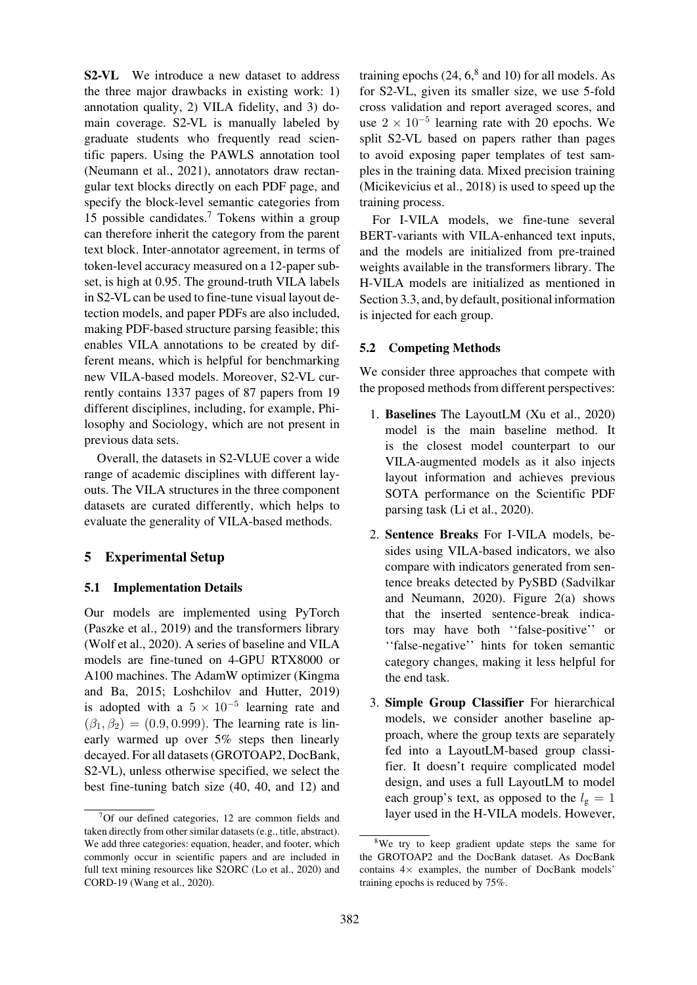S2-VL We introduce a new dataset to address the three major drawbacks in existing work: 1) annotation quality, 2) VILA fidelity, and 3) domain coverage. S2-VL is manually labeled by graduate students who frequently read scientific papers. Using the PAWLS annotation tool (Neumann et al., 2021), annotators draw rectangular text blocks directly on each PDF page, and specify the block-level semantic categories from 15 possible candidates.<sup>7</sup> Tokens within a group [can](#page-12-4) [therefore](#page-12-4) [inherit](#page-12-4) [the](#page-12-4) category from the parent text block. Inter-annotator agreement, in terms of token-level accuracy measured on a 12-paper subset, is high at 0.95. The [g](#page-6-0)round-truth VILA labels in S2-VL can be used to fine-tune visual layout detection models, and paper PDFs are also included, making PDF-based structure parsing feasible; this enables VILA annotations to be created by different means, which is helpful for benchmarking new VILA-based models. Moreover, S2-VL currently contains 1337 pages of 87 papers from 19 different disciplines, including, for example, Philosophy and Sociology, which are not present in previous data sets.

Overall, the datasets in S2-VLUE cover a wide range of academic disciplines with different layouts. The VILA structures in the three component datasets are curated differently, which helps to evaluate the generality of VILA-based methods.

# 5 Experimental Setup

#### 5.1 Implementation Details

Our models are implemented using PyTorch (Paszke et al., 2019) and the transformers library (Wolf et al., 2020). A series of baseline and VILA models are fine-tuned on 4-GPU RTX8000 or A100 machines. The AdamW optimizer (Kingma [and](#page-12-5) [Ba,](#page-12-5) [2015;](#page-12-5) [Lo](#page-12-5)shchilov and Hutter, 2019) [is](#page-13-13) [adopted](#page-13-13) [with](#page-13-13) a  $5 \times 10^{-5}$  learning rate and  $(\beta_1, \beta_2) = (0.9, 0.999)$ . The learning rate is linearly warmed up over 5% steps then [linearly](#page-11-13) [decayed.](#page-11-13) [For](#page-11-14) [al](#page-11-14)l [datasets](#page-12-6) [\(GROTOAP2,](#page-12-6) [DocBank](#page-12-6), S2-VL), unless otherwise specified, we select the best fine-tuning batch size (40, 40, and 12) and training epochs  $(24, 6, 8)$  and 10) for all models. As for S2-VL, given its smaller size, we use 5-fold cross validation and report averaged scores, and use  $2 \times 10^{-5}$  learning rate with 20 epochs. We split S2-VL based o[n](#page-6-1) papers rather than pages to avoid exposing paper templates of test samples in the training data. Mixed precision training (Micikevicius et al., 2018) is used to speed up the training process.

For I-VILA models, we fine-tune several [BERT-variants with VILA](#page-12-7)-enhanced text inputs, and the models are initialized from pre-trained weights available in the transformers library. The H-VILA models are initialized as mentioned in Section 3.3, and, by default, positional information is injected for each group.

#### 5.2 C[omp](#page-3-2)eting Methods

We consider three approaches that compete with the proposed methods from different perspectives:

- 1. Baselines The LayoutLM (Xu et al., 2020) model is the main baseline method. It is the closest model counterpart to our VILA-augmented models as it also injects layout information and a[chieves](#page-13-1) [p](#page-13-1)r[evious](#page-13-1) SOTA performance on the Scientific PDF parsing task (Li et al., 2020).
- 2. Sentence Breaks For I-VILA models, besides using VILA-based indicators, we also compare wit[h indicators gen](#page-11-1)erated from sentence breaks detected by PySBD (Sadvilkar and Neumann, 2020). Figure 2(a) shows that the inserted sentence-break indicators may have both ''false-positive'' or ''false-negative'[' hint](#page-12-9)s for token [semantic](#page-12-8) [category](#page-12-8) [change](#page-12-8)s, maki[ng](#page-3-0) [it](#page-3-0) [less](#page-3-0) [help](#page-3-0)ful for the end task.
- 3. Simple Group Classifier For hierarchical models, we consider another baseline approach, where the group texts are separately fed into a LayoutLM-based group classifier. It doesn't require complicated model design, and uses a full LayoutLM to model each group's text, as opposed to the  $l_{\rm g} = 1$ layer used in the H-VILA models. However,

<span id="page-6-0"></span><sup>7</sup>Of our defined categories, 12 are common fields and taken directly from other similar datasets (e.g., title, abstract). We add three categories: equation, header, and footer, which commonly occur in scientific papers and are included in full text mining resources like S2ORC (Lo et al., 2020) and CORD-19 (Wang et al., 2020).

<span id="page-6-1"></span><sup>&</sup>lt;sup>8</sup>We try to keep gradient update steps the same for the GROTOAP2 and the DocBank dataset. As DocBank contains  $4\times$  examples, the number of DocBank models' training epochs is reduced by 75%.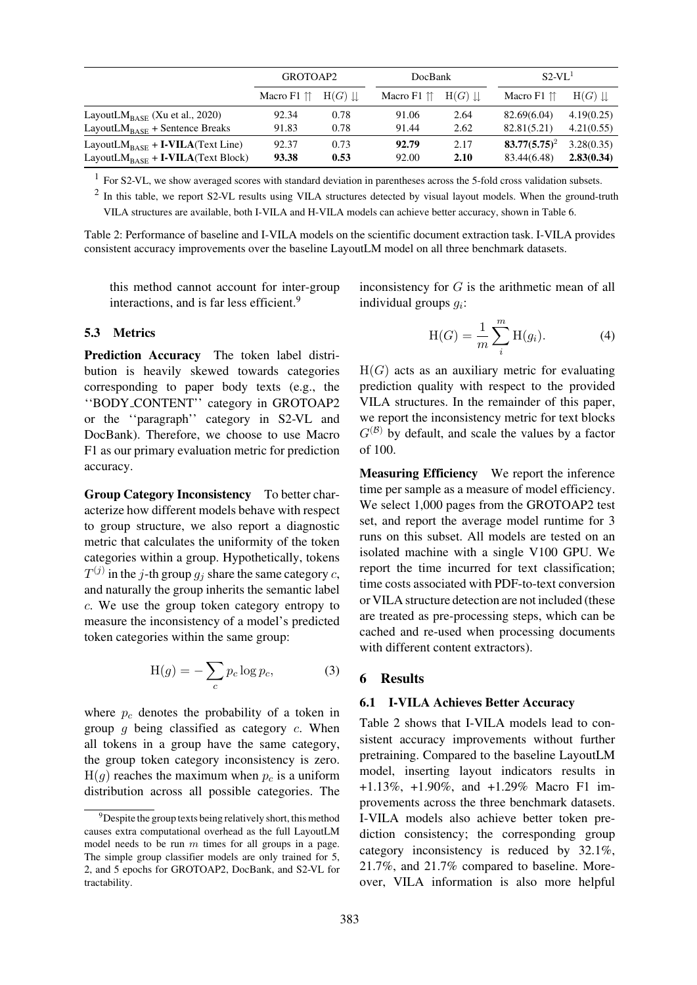|                                                                                          | GROTOAP2            |              | <b>DocBank</b>                |              | $S2-VL1$                       |                          |  |
|------------------------------------------------------------------------------------------|---------------------|--------------|-------------------------------|--------------|--------------------------------|--------------------------|--|
|                                                                                          | Macro F1 $\uparrow$ | $H(G)$       | Macro $F1$ $\uparrow\uparrow$ | $H(G)$       | Macro $F1 \uparrow \uparrow$   | $H(G)$                   |  |
| LayoutL $M_{\text{BASE}}$ (Xu et al., 2020)                                              | 92.34               | 0.78         | 91.06                         | 2.64         | 82.69(6.04)                    | 4.19(0.25)               |  |
| LayoutL $M_{BASE}$ + Sentence Breaks                                                     | 91.83               | 0.78         | 91.44                         | 2.62         | 82.81(5.21)                    | 4.21(0.55)               |  |
| LayoutL $M_{BASE}$ + I-VILA(Text Line)<br>LayoutL $M_{\text{BASE}}$ + I-VILA(Text Block) | 92.37<br>93.38      | 0.73<br>0.53 | 92.79<br>92.00                | 2.17<br>2.10 | $83.77(5.75)^2$<br>83.44(6.48) | 3.28(0.35)<br>2.83(0.34) |  |

<sup>1</sup> For S2-VL, [we](#page-13-1) [show](#page-13-1) [averag](#page-13-1)ed scores with standard deviation in parentheses across the 5-fold cross validation subsets.

 $<sup>2</sup>$  In this table, we report S2-VL results using VILA structures detected by visual layout models. When the ground-truth</sup> VILA structures are available, both I-VILA and H-VILA models can achieve better accuracy, shown in Table 6.

Table 2: Performance of baseline and I-VILA models on the scientific document extraction task. I-VILA provides consistent accuracy improvements over the baseline LayoutLM model on all three benchmark datasets.

<span id="page-7-1"></span>this method cannot account for inter-group interactions, and is far less efficient.<sup>9</sup>

#### 5.3 Metrics

Prediction Accuracy The token lab[el](#page-7-0) distribution is heavily skewed towards categories corresponding to paper body texts (e.g., the ''BODY CONTENT'' category in GROTOAP2 or the ''paragraph'' category in S2-VL and DocBank). Therefore, we choose to use Macro F1 as our primary evaluation metric for prediction accuracy.

Group Category Inconsistency To better characterize how different models behave with respect to group structure, we also report a diagnostic metric that calculates the uniformity of the token categories within a group. Hypothetically, tokens  $T^{(j)}$  in the j-th group  $g_j$  share the same category c, and naturally the group inherits the semantic label c. We use the group token category entropy to measure the inconsistency of a model's predicted token categories within the same group:

$$
H(g) = -\sum_{c} p_c \log p_c, \tag{3}
$$

where  $p_c$  denotes the probability of a token in group  $g$  being classified as category  $c$ . When all tokens in a group have the same category, the group token category inconsistency is zero.  $H(g)$  reaches the maximum when  $p_c$  is a uniform distribution across all possible categories. The

inconsistency for  $G$  is the arithmetic mean of all individual groups  $g_i$ :

$$
H(G) = \frac{1}{m} \sum_{i}^{m} H(g_i).
$$
 (4)

 $H(G)$  acts as an auxiliary metric for evaluating prediction quality with respect to the provided VILA structures. In the remainder of this paper, we report the inconsistency metric for text blocks  $G^{(\mathcal{B})}$  by default, and scale the values by a factor of 100.

Measuring Efficiency We report the inference time per sample as a measure of model efficiency. We select 1,000 pages from the GROTOAP2 test set, and report the average model runtime for 3 runs on this subset. All models are tested on an isolated machine with a single V100 GPU. We report the time incurred for text classification; time costs associated with PDF-to-text conversion or VILA structure detection are not included (these are treated as pre-processing steps, which can be cached and re-used when processing documents with different content extractors).

## 6 Results

#### 6.1 I-VILA Achieves Better Accuracy

Table 2 shows that I-VILA models lead to consistent accuracy improvements without further pretraining. Compared to the baseline LayoutLM model, inserting layout indicators results in [+1.13%,](#page-7-1) +1.90%, and +1.29% Macro F1 improvements across the three benchmark datasets. I-VILA models also achieve better token prediction consistency; the corresponding group category inconsistency is reduced by 32.1%, 21.7%, and 21.7% compared to baseline. Moreover, VILA information is also more helpful

<span id="page-7-0"></span><sup>&</sup>lt;sup>9</sup>Despite the group texts being relatively short, this method causes extra computational overhead as the full LayoutLM model needs to be run  $m$  times for all groups in a page. The simple group classifier models are only trained for 5, 2, and 5 epochs for GROTOAP2, DocBank, and S2-VL for tractability.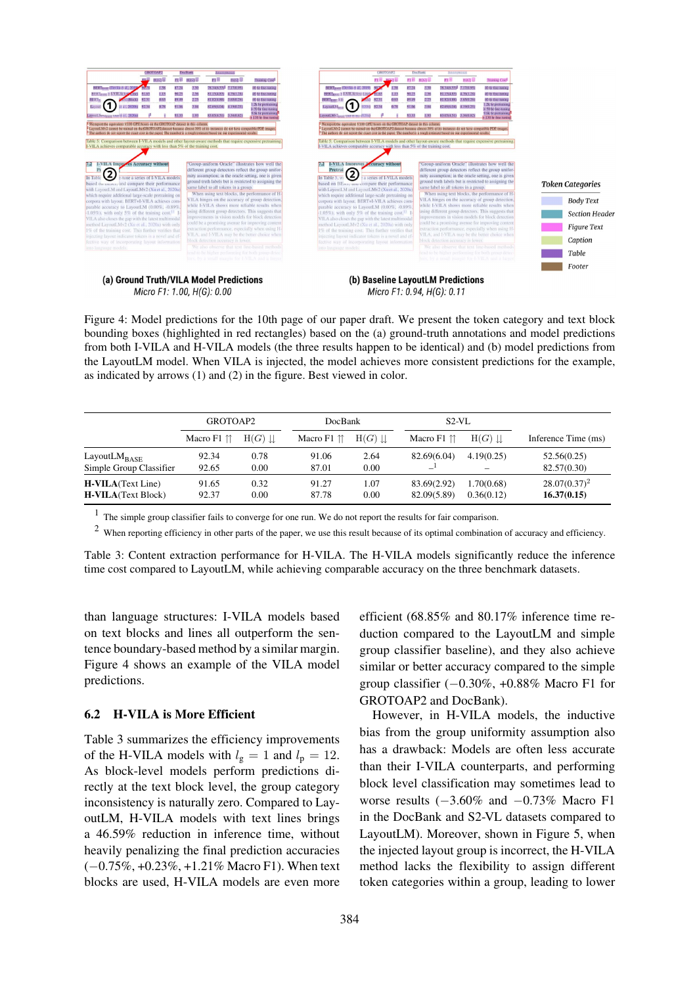

Micro F1: 1.00, H(G): 0.00





Figure 4: Model predictions for the 10th page of our paper draft. We present the token category and text block bounding boxes (highlighted in red rectangles) based on the (a) ground-truth annotations and model predictions from both I-VILA and H-VILA models (the three results happen to be identical) and (b) model predictions from the LayoutLM model. When VILA is injected, the model achieves more consistent predictions for the example, as indicated by arrows (1) and (2) in the figure. Best viewed in color.

<span id="page-8-0"></span>

|                                                         | GROTOAP2                      |              | <b>DocBank</b>         |              | S <sub>2</sub> -VL           |                          |                                |
|---------------------------------------------------------|-------------------------------|--------------|------------------------|--------------|------------------------------|--------------------------|--------------------------------|
|                                                         | Macro $F1$ $\uparrow\uparrow$ | $H(G)$       | Macro F1 <sup>↑↑</sup> | $H(G)$       | Macro $F1 \uparrow \uparrow$ | $H(G)$                   | Inference Time (ms)            |
| Layout $LM_{\text{BASE}}$<br>Simple Group Classifier    | 92.34<br>92.65                | 0.78<br>0.00 | 91.06<br>87.01         | 2.64<br>0.00 | 82.69(6.04)                  | 4.19(0.25)               | 52.56(0.25)<br>82.57(0.30)     |
| <b>H-VILA</b> (Text Line)<br><b>H-VILA</b> (Text Block) | 91.65<br>92.37                | 0.32<br>0.00 | 91.27<br>87.78         | 1.07<br>0.00 | 83.69(2.92)<br>82.09(5.89)   | 1.70(0.68)<br>0.36(0.12) | $28.07(0.37)^2$<br>16.37(0.15) |

<sup>1</sup> The simple group classifier fails to converge for one run. We do not report the results for fair comparison.

 $2$  When reporting efficiency in other parts of the paper, we use this result because of its optimal combination of accuracy and efficiency.

Table 3: Content extraction performance for H-VILA. The H-VILA models significantly reduce the inference time cost compared to LayoutLM, while achieving comparable accuracy on the three benchmark datasets.

<span id="page-8-1"></span>than language structures: I-VILA models based on text blocks and lines all outperform the sentence boundary-based method by a similar margin. Figure 4 shows an example of the VILA model predictions.

# [6.2 H-V](#page-8-0)ILA is More Efficient

Table 3 summarizes the efficiency improvements of the H-VILA models with  $l_g = 1$  and  $l_p = 12$ . As block-level models perform predictions directly at the text block level, the group category [inconsis](#page-8-1)tency is naturally zero. Compared to LayoutLM, H-VILA models with text lines brings a 46.59% reduction in inference time, without heavily penalizing the final prediction accuracies (−0.75%, +0.23%, +1.21% Macro F1). When text blocks are used, H-VILA models are even more efficient (68.85% and 80.17% inference time reduction compared to the LayoutLM and simple group classifier baseline), and they also achieve similar or better accuracy compared to the simple group classifier (−0.30%, +0.88% Macro F1 for GROTOAP2 and DocBank).

However, in H-VILA models, the inductive bias from the group uniformity assumption also has a drawback: Models are often less accurate than their I-VILA counterparts, and performing block level classification may sometimes lead to worse results  $(-3.60\%$  and  $-0.73\%$  Macro F1 in the DocBank and S2-VL datasets compared to LayoutLM). Moreover, shown in Figure 5, when the injected layout group is incorrect, the H-VILA method lacks the flexibility to assign different token categories within a group, l[eading to](#page-9-0) lower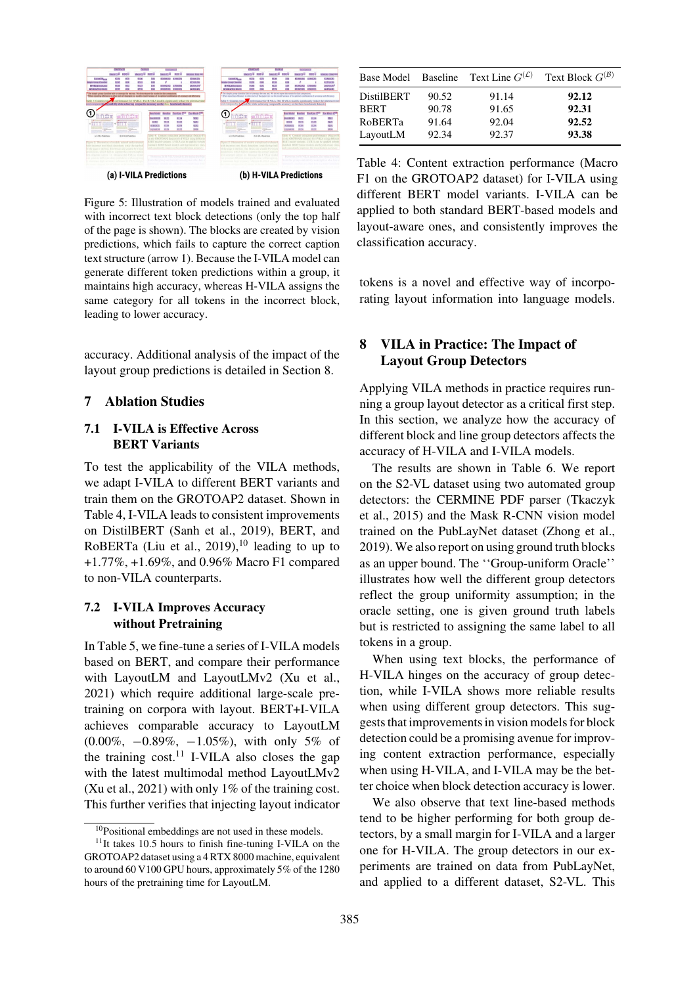

(a) I-VILA Predictions

(b) H-VILA Predictions

<span id="page-9-0"></span>Figure 5: Illustration of models trained and evaluated with incorrect text block detections (only the top half of the page is shown). The blocks are created by vision predictions, which fails to capture the correct caption text structure (arrow 1). Because the I-VILA model can generate different token predictions within a group, it maintains high accuracy, whereas H-VILA assigns the same category for all tokens in the incorrect block, leading to lower accuracy.

accuracy. Additional analysis of the impact of the layout group predictions is detailed in Section 8.

#### 7 Ablation Studies

## 7.1 I-VILA is Effective Across BERT Variants

To test the applicability of the VILA methods, we adapt I-VILA to different BERT variants and train them on the GROTOAP2 dataset. Shown in Table 4, I-VILA leads to consistent improvements on DistilBERT (Sanh et al., 2019), BERT, and RoBERTa (Liu et al., 2019),<sup>10</sup> leading to up to +1.77%, +1.69%, and 0.96% Macro F1 compared [to](#page-9-1) [non-V](#page-9-1)ILA co[unterparts.](#page-12-10)

## 7.2 I-VIL[A](#page-12-11) [Improves](#page-12-11) [Acc](#page-12-11)[ura](#page-9-2)cy without Pretraining

In Table 5, we fine-tune a series of I-VILA models based on BERT, and compare their performance with LayoutLM and LayoutLMv2 (Xu et al., 2021) which require additional large-scale pretr[aining](#page-10-0) [on](#page-10-0) corpora with layout. BERT+I-VILA achieves comparable accuracy to [LayoutLM](#page-13-2) (0.00%, −0.89%, −1.05%), with only 5% of [the](#page-13-2) [tr](#page-13-2)aining  $cost^{11}$  I-VILA also closes the gap with the latest multimodal method LayoutLMv2 (Xu et al., 2021) with only 1% of the training cost. This further verif[ies](#page-9-3) that injecting layout indicator

|                   |       | Base Model Baseline Text Line $G^{(\mathcal{L})}$ | Text Block $G^{(\mathcal{B})}$ |
|-------------------|-------|---------------------------------------------------|--------------------------------|
| <b>DistilBERT</b> | 90.52 | 91.14                                             | 92.12                          |
| <b>BERT</b>       | 90.78 | 91.65                                             | 92.31                          |
| <b>RoBERTa</b>    | 91.64 | 92.04                                             | 92.52                          |
| LayoutLM          | 92.34 | 92.37                                             | 93.38                          |

Table 4: Content extraction performance (Macro F1 on the GROTOAP2 dataset) for I-VILA using different BERT model variants. I-VILA can be applied to both standard BERT-based models and layout-aware ones, and consistently improves the classification accuracy.

<span id="page-9-1"></span>tokens is a novel and effective way of incorporating layout information into language models.

# 8 VILA in Practice: The Impact of Layout Group Detectors

Applying VILA methods in practice requires running a group layout detector as a critical first step. In this section, we analyze how the accuracy of different block and line group detectors affects the accuracy of H-VILA and I-VILA models.

The results are shown in Table 6. We report on the S2-VL dataset using two automated group detectors: the CERMINE PDF parser (Tkaczyk et al., 2015) and the Mask R-CNN vision model trained on the PubLayNet d[ataset](#page-10-1) [\(Z](#page-10-1)hong et al., 2019). We also report on using ground truth blocks as an upper bound. The ''Group-uniform Oracle'' illustr[ates](#page-13-4) [h](#page-13-4)ow well the different gr[oup detectors](#page-14-0) [reflec](#page-14-0)t the group uniformity assumption; in the oracle setting, one is given ground truth labels but is restricted to assigning the same label to all tokens in a group.

When using text blocks, the performance of H-VILA hinges on the accuracy of group detection, while I-VILA shows more reliable results when using different group detectors. This suggests that improvements in vision models for block detection could be a promising avenue for improving content extraction performance, especially when using H-VILA, and I-VILA may be the better choice when block detection accuracy is lower.

We also observe that text line-based methods tend to be higher performing for both group detectors, by a small margin for I-VILA and a larger one for H-VILA. The group detectors in our experiments are trained on data from PubLayNet, and applied to a different dataset, S2-VL. This

<sup>&</sup>lt;sup>10</sup>Positional embeddings are not used in these models.

<span id="page-9-3"></span><span id="page-9-2"></span> $11$ It takes 10.5 hours to finish fine-tuning I-VILA on the GROTOAP2 dataset using a 4 RTX 8000 machine, equivalent to around 60 V100 GPU hours, approximately 5% of the 1280 hours of the pretraining time for LayoutLM.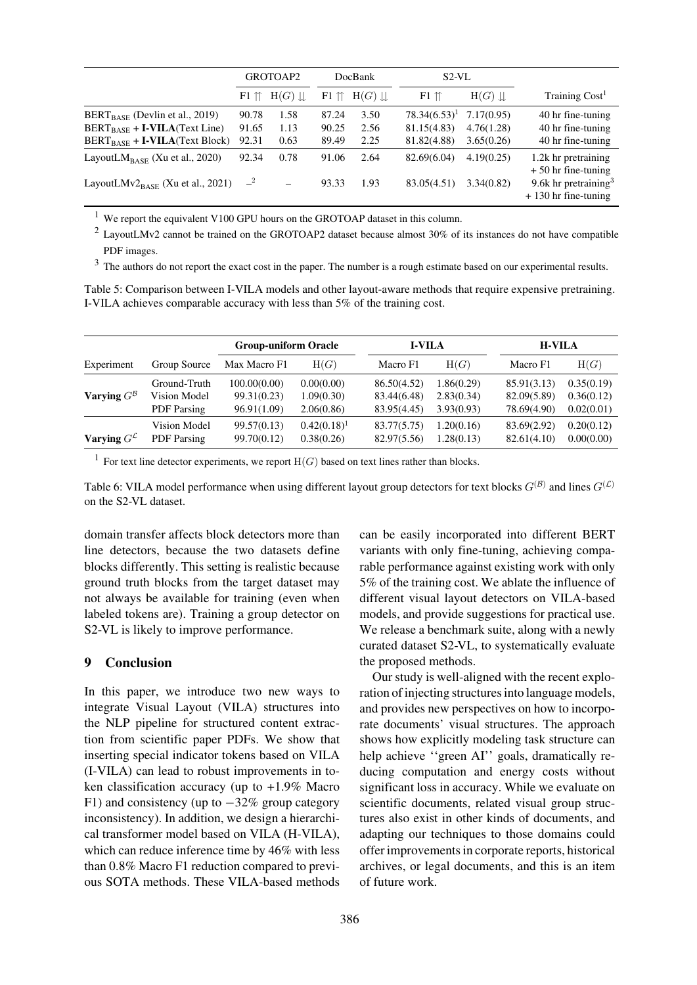|                                             | GROTOAP2        |                  | DocBank       |                         | $S2-VL$         |              |                                                           |
|---------------------------------------------|-----------------|------------------|---------------|-------------------------|-----------------|--------------|-----------------------------------------------------------|
|                                             | $F1$ $\Upsilon$ | $H(G) \parallel$ | $F1 \uparrow$ | $H(G) \perp\!\!\!\perp$ | $F1 \nuparrow$  | $H(G) \perp$ | Training Cost <sup>1</sup>                                |
| $BERT_{BASE}$ (Devlin et al., 2019)         | 90.78           | 1.58             | 87.24         | 3.50                    | $78.34(6.53)^1$ | 7.17(0.95)   | 40 hr fine-tuning                                         |
| $BERT_{BASE} + I-VILA(Text Line)$           | 91.65           | 1.13             | 90.25         | 2.56                    | 81.15(4.83)     | 4.76(1.28)   | 40 hr fine-tuning                                         |
| $BERT_{BASE} + I-VILA(Text Block)$          | 92.31           | 0.63             | 89.49         | 2.25                    | 81.82(4.88)     | 3.65(0.26)   | 40 hr fine-tuning                                         |
| LayoutL $M_{\text{BASE}}$ (Xu et al., 2020) | 92.34           | 0.78             | 91.06         | 2.64                    | 82.69(6.04)     | 4.19(0.25)   | 1.2k hr pretraining<br>$+50$ hr fine-tuning               |
| LayoutL $Mv2_{BASE}$ (Xu et al., 2021)      | $-2$            |                  | 93.33         | 1.93                    | 83.05(4.51)     | 3.34(0.82)   | 9.6k hr pretraining <sup>3</sup><br>$+130$ hr fine-tuning |

<sup>1</sup> We report t[he equiva](#page-13-1)l[ent V](#page-13-1)100 GPU hours on the GROTOAP dataset in this column.

 $2$  LayoutLMv2 cannot be trained on the GROTOAP2 dataset because almost 30% of its instances do not have compatible PDF images.

<sup>3</sup> The authors do not report the exact cost in the paper. The number is a rough estimate based on our experimental results.

Table 5: Comparison between I-VILA models and other layout-aware methods that require expensive pretraining. I-VILA achieves comparable accuracy with less than 5% of the training cost.

<span id="page-10-0"></span>

|                           |                    | <b>Group-uniform Oracle</b> |                | <b>I-VILA</b> |            |             | <b>H-VILA</b> |  |  |
|---------------------------|--------------------|-----------------------------|----------------|---------------|------------|-------------|---------------|--|--|
| Experiment                | Group Source       | Max Macro F1                | H(G)           | Macro F1      | H(G)       | Macro F1    | H(G)          |  |  |
|                           | Ground-Truth       | 100.00(0.00)                | 0.00(0.00)     | 86.50(4.52)   | 1.86(0.29) | 85.91(3.13) | 0.35(0.19)    |  |  |
| Varying $G^{\mathcal{B}}$ | Vision Model       | 99.31(0.23)                 | 1.09(0.30)     | 83.44(6.48)   | 2.83(0.34) | 82.09(5.89) | 0.36(0.12)    |  |  |
|                           | <b>PDF</b> Parsing | 96.91(1.09)                 | 2.06(0.86)     | 83.95(4.45)   | 3.93(0.93) | 78.69(4.90) | 0.02(0.01)    |  |  |
|                           | Vision Model       | 99.57(0.13)                 | $0.42(0.18)^1$ | 83.77(5.75)   | 1.20(0.16) | 83.69(2.92) | 0.20(0.12)    |  |  |
| Varying $G^{\mathcal{L}}$ | <b>PDF</b> Parsing | 99.70(0.12)                 | 0.38(0.26)     | 82.97(5.56)   | 1.28(0.13) | 82.61(4.10) | 0.00(0.00)    |  |  |

<sup>1</sup> For text line detector experiments, we report  $H(G)$  based on text lines rather than blocks.

Table 6: VILA model performance when using different layout group detectors for text blocks  $G^{(B)}$  and lines  $G^{(C)}$ on the S2-VL dataset.

<span id="page-10-1"></span>domain transfer affects block detectors more than line detectors, because the two datasets define blocks differently. This setting is realistic because ground truth blocks from the target dataset may not always be available for training (even when labeled tokens are). Training a group detector on S2-VL is likely to improve performance.

## 9 Conclusion

In this paper, we introduce two new ways to integrate Visual Layout (VILA) structures into the NLP pipeline for structured content extraction from scientific paper PDFs. We show that inserting special indicator tokens based on VILA (I-VILA) can lead to robust improvements in token classification accuracy (up to +1.9% Macro F1) and consistency (up to  $-32\%$  group category inconsistency). In addition, we design a hierarchical transformer model based on VILA (H-VILA), which can reduce inference time by 46% with less than 0.8% Macro F1 reduction compared to previous SOTA methods. These VILA-based methods can be easily incorporated into different BERT variants with only fine-tuning, achieving comparable performance against existing work with only 5% of the training cost. We ablate the influence of different visual layout detectors on VILA-based models, and provide suggestions for practical use. We release a benchmark suite, along with a newly curated dataset S2-VL, to systematically evaluate the proposed methods.

Our study is well-aligned with the recent exploration of injecting structures into language models, and provides new perspectives on how to incorporate documents' visual structures. The approach shows how explicitly modeling task structure can help achieve ''green AI'' goals, dramatically reducing computation and energy costs without significant loss in accuracy. While we evaluate on scientific documents, related visual group structures also exist in other kinds of documents, and adapting our techniques to those domains could offer improvements in corporate reports, historical archives, or legal documents, and this is an item of future work.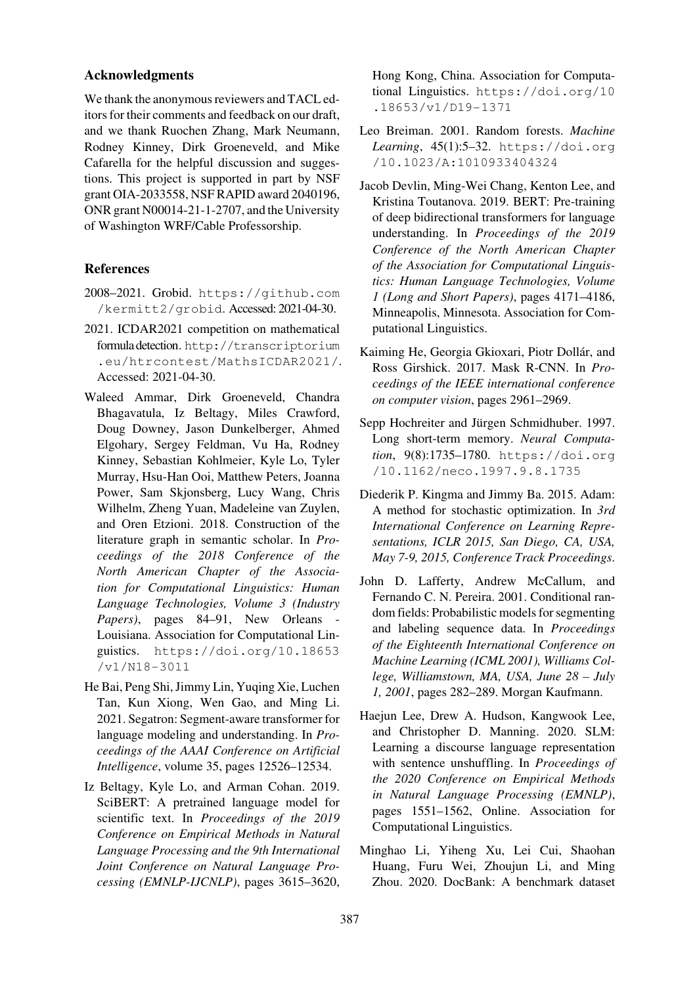## Acknowledgments

We thank the anonymous reviewers and TACL editors for their comments and feedback on our draft, and we thank Ruochen Zhang, Mark Neumann, Rodney Kinney, Dirk Groeneveld, and Mike Cafarella for the helpful discussion and suggestions. This project is supported in part by NSF grant OIA-2033558, NSF RAPID award 2040196, ONR grant N00014-21-1-2707, and the University of Washington WRF/Cable Professorship.

# References

- 2008–2021. Grobid. https://github.com /kermitt2/grobid. Accessed: 2021-04-30.
- <span id="page-11-3"></span>2021. ICDAR2021 competition on mathematical formula detection. h[ttp://transcriptorium](https://github.com/kermitt2/grobid) [.eu/htrcontest/M](https://github.com/kermitt2/grobid)athsICDAR2021/. Accessed: 2021-04-30.
- <span id="page-11-11"></span><span id="page-11-2"></span>Waleed Ammar, [Dirk Groeneveld, Chandra](http://transcriptorium.eu/htrcontest/MathsICDAR2021/) [Bhagavatula, Iz Beltagy, Miles Crawford,](http://transcriptorium.eu/htrcontest/MathsICDAR2021/) Doug Downey, Jason Dunkelberger, Ahmed Elgohary, Sergey Feldman, Vu Ha, Rodney Kinney, Sebastian Kohlmeier, Kyle Lo, Tyler Murray, Hsu-Han Ooi, Matthew Peters, Joanna Power, Sam Skjonsberg, Lucy Wang, Chris Wilhelm, Zheng Yuan, Madeleine van Zuylen, and Oren Etzioni. 2018. Construction of the literature graph in semantic scholar. In *Proceedings of the 2018 Conference of the North American Chapter of the Association for Computational Linguistics: Human Language Technologies, Volume 3 (Industry Papers)*, pages 84–91, New Orleans - Louisiana. Association for Computational Linguistics. https://doi.org/10.18653 /v1/N18-3011
- He Bai, Peng Shi, Jimmy Lin, Yuqing Xie, Luchen Tan, Kun [Xiong, Wen Gao, and Ming Li.](https://doi.org/10.18653/v1/N18-3011) [2021. Segatron: Se](https://doi.org/10.18653/v1/N18-3011)gment-aware transformer for language modeling and understanding. In *Proceedings of the AAAI Conference on Artificial Intelligence*, volume 35, pages 12526–12534.
- <span id="page-11-9"></span>Iz Beltagy, Kyle Lo, and Arman Cohan. 2019. SciBERT: A pretrained language model for scientific text. In *Proceedings of the 2019 Conference on Empirical Methods in Natural Language Processing and the 9th International Joint Conference on Natural Language Processing (EMNLP-IJCNLP)*, pages 3615–3620,

Hong Kong, China. Association for Computational Linguistics. https://doi.org/10 .18653/v1/D19-1371

- Leo Breiman. 2001. Random forests. *Machine Learning*, 45(1):5–32. [https://doi.org](https://doi.org/10.18653/v1/D19-1371) [/10.1023/A:10109334](https://doi.org/10.18653/v1/D19-1371)04324
- <span id="page-11-6"></span><span id="page-11-0"></span>Jacob Devlin, Ming-Wei Chang, Kenton Lee, and Kristina Toutanova. 20[19. BERT: Pre-training](https://doi.org/10.1023/A:1010933404324) [of deep bidirectional transformers fo](https://doi.org/10.1023/A:1010933404324)r language understanding. In *Proceedings of the 2019 Conference of the North American Chapter of the Association for Computational Linguistics: Human Language Technologies, Volume 1 (Long and Short Papers)*, pages 4171–4186, Minneapolis, Minnesota. Association for Computational Linguistics.
- Kaiming He, Georgia Gkioxari, Piotr Dollár, and Ross Girshick. 2017. Mask R-CNN. In *Proceedings of the IEEE international conference on computer vision*, pages 2961–2969.
- <span id="page-11-12"></span><span id="page-11-7"></span>Sepp Hochreiter and Jürgen Schmidhuber. 1997. Long short-term memory. *Neural Computation*, 9(8):1735–1780. https://doi.org /10.1162/neco.1997.9.8.1735
- <span id="page-11-4"></span>Diederik P. Kingma and Jimmy Ba. 2015. Adam: A method for stochasti[c optimization. In](https://doi.org/10.1162/neco.1997.9.8.1735) *3rd [International Conference on Learning R](https://doi.org/10.1162/neco.1997.9.8.1735)epresentations, ICLR 2015, San Diego, CA, USA, May 7-9, 2015, Conference Track Proceedings*.
- <span id="page-11-14"></span><span id="page-11-13"></span><span id="page-11-5"></span>John D. Lafferty, Andrew McCallum, and Fernando C. N. Pereira. 2001. Conditional random fields: Probabilistic models for segmenting and labeling sequence data. In *Proceedings of the Eighteenth International Conference on Machine Learning (ICML 2001), Williams College, Williamstown, MA, USA, June 28 – July 1, 2001*, pages 282–289. Morgan Kaufmann.
- <span id="page-11-8"></span>Haejun Lee, Drew A. Hudson, Kangwook Lee, and Christopher D. Manning. 2020. SLM: Learning a discourse language representation with sentence unshuffling. In *Proceedings of the 2020 Conference on Empirical Methods in Natural Language Processing (EMNLP)*, pages 1551–1562, Online. Association for Computational Linguistics.
- <span id="page-11-10"></span><span id="page-11-1"></span>Minghao Li, Yiheng Xu, Lei Cui, Shaohan Huang, Furu Wei, Zhoujun Li, and Ming Zhou. 2020. DocBank: A benchmark dataset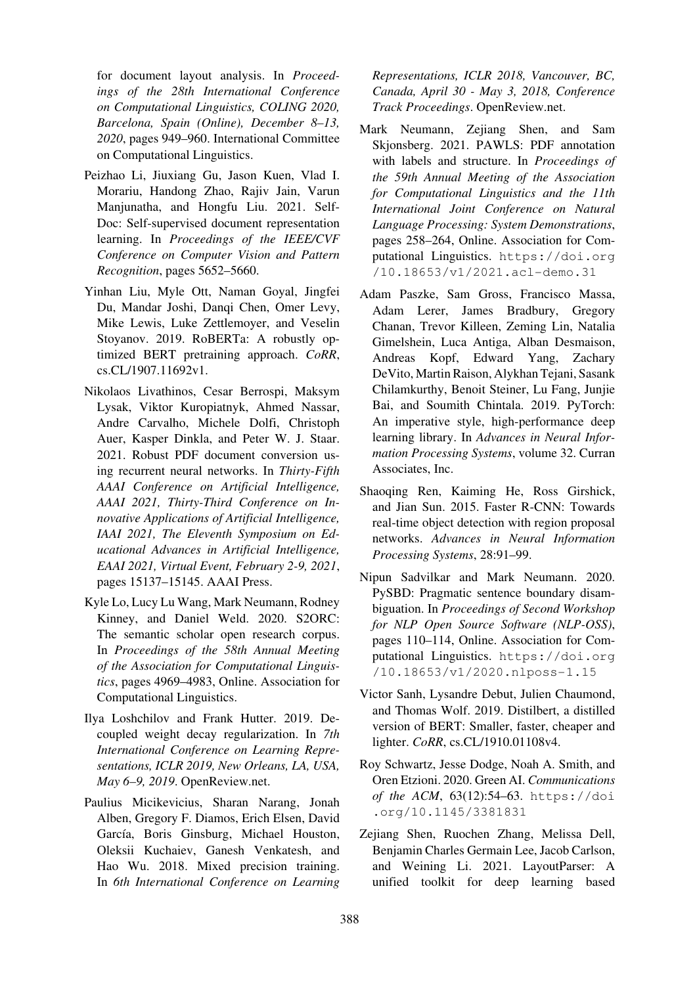for document layout analysis. In *Proceedings of the 28th International Conference on Computational Linguistics, COLING 2020, Barcelona, Spain (Online), December 8–13, 2020*, pages 949–960. International Committee on Computational Linguistics.

- <span id="page-12-0"></span>Peizhao Li, Jiuxiang Gu, Jason Kuen, Vlad I. Morariu, Handong Zhao, Rajiv Jain, Varun Manjunatha, and Hongfu Liu. 2021. Self-Doc: Self-supervised document representation learning. In *Proceedings of the IEEE/CVF Conference on Computer Vision and Pattern Recognition*, pages 5652–5660.
- Yinhan Liu, Myle Ott, Naman Goyal, Jingfei Du, Mandar Joshi, Danqi Chen, Omer Levy, Mike Lewis, Luke Zettlemoyer, and Veselin Stoyanov. 2019. RoBERTa: A robustly optimized BERT pretraining approach. *CoRR*, cs.CL/1907.11692v1.
- <span id="page-12-11"></span><span id="page-12-2"></span>Nikolaos Livathinos, Cesar Berrospi, Maksym Lysak, Viktor Kuropiatnyk, Ahmed Nassar, Andre Carvalho, Michele Dolfi, Christoph Auer, Kasper Dinkla, and Peter W. J. Staar. 2021. Robust PDF document conversion using recurrent neural networks. In *Thirty-Fifth AAAI Conference on Artificial Intelligence, AAAI 2021, Thirty-Third Conference on Innovative Applications of Artificial Intelligence, IAAI 2021, The Eleventh Symposium on Educational Advances in Artificial Intelligence, EAAI 2021, Virtual Event, February 2-9, 2021*, pages 15137–15145. AAAI Press.
- Kyle Lo, Lucy Lu Wang, Mark Neumann, Rodney Kinney, and Daniel Weld. 2020. S2ORC: The semantic scholar open research corpus. In *Proceedings of the 58th Annual Meeting of the Association for Computational Linguistics*, pages 4969–4983, Online. Association for Computational Linguistics.
- Ilya Loshchilov and Frank Hutter. 2019. Decoupled weight decay regularization. In *7th International Conference on Learning Representations, ICLR 2019, New Orleans, LA, USA, May 6–9, 2019*. OpenReview.net.
- <span id="page-12-7"></span><span id="page-12-6"></span>Paulius Micikevicius, Sharan Narang, Jonah Alben, Gregory F. Diamos, Erich Elsen, David García, Boris Ginsburg, Michael Houston, Oleksii Kuchaiev, Ganesh Venkatesh, and Hao Wu. 2018. Mixed precision training. In *6th International Conference on Learning*

*Representations, ICLR 2018, Vancouver, BC, Canada, April 30 - May 3, 2018, Conference Track Proceedings*. OpenReview.net.

- <span id="page-12-4"></span>Mark Neumann, Zejiang Shen, and Sam Skjonsberg. 2021. PAWLS: PDF annotation with labels and structure. In *Proceedings of the 59th Annual Meeting of the Association for Computational Linguistics and the 11th International Joint Conference on Natural Language Processing: System Demonstrations*, pages 258–264, Online. Association for Computational Linguistics. https://doi.org /10.18653/v1/2021.acl-demo.31
- <span id="page-12-5"></span>Adam Paszke, Sam Gross, Francisco Massa, Adam Lerer, James [Bradbury, Gregory](https://doi.org/10.18653/v1/2021.acl-demo.31) [Chanan, Trevor Killeen, Zeming Lin, Nata](https://doi.org/10.18653/v1/2021.acl-demo.31)lia Gimelshein, Luca Antiga, Alban Desmaison, Andreas Kopf, Edward Yang, Zachary DeVito, Martin Raison, Alykhan Tejani, Sasank Chilamkurthy, Benoit Steiner, Lu Fang, Junjie Bai, and Soumith Chintala. 2019. PyTorch: An imperative style, high-performance deep learning library. In *Advances in Neural Information Processing Systems*, volume 32. Curran Associates, Inc.
- Shaoqing Ren, Kaiming He, Ross Girshick, and Jian Sun. 2015. Faster R-CNN: Towards real-time object detection with region proposal networks. *Advances in Neural Information Processing Systems*, 28:91–99.
- <span id="page-12-12"></span><span id="page-12-9"></span><span id="page-12-8"></span>Nipun Sadvilkar and Mark Neumann. 2020. PySBD: Pragmatic sentence boundary disambiguation. In *Proceedings of Second Workshop for NLP Open Source Software (NLP-OSS)*, pages 110–114, Online. Association for Computational Linguistics. https://doi.org /10.18653/v1/2020.nlposs-1.15
- Victor Sanh, Lysandre Debut, Julien Chaumond, and Thomas Wolf. 201[9. Distilbert, a distilled](https://doi.org/10.18653/v1/2020.nlposs-1.15) [version of BERT: Smaller, faster, cheaper a](https://doi.org/10.18653/v1/2020.nlposs-1.15)nd lighter. *CoRR*, cs.CL/1910.01108v4.
- <span id="page-12-10"></span>Roy Schwartz, Jesse Dodge, Noah A. Smith, and Oren Etzioni. 2020. Green AI. *Communications of the ACM*, 63(12):54–63. https://doi .org/10.1145/3381831
- <span id="page-12-3"></span><span id="page-12-1"></span>Zejiang Shen, Ruochen Zhang, Melissa Dell, Benjamin Charles Germain Le[e, Jacob Carlson,](https://doi.org/10.1145/3381831) [and Weining Li. 2021. L](https://doi.org/10.1145/3381831)ayoutParser: A unified toolkit for deep learning based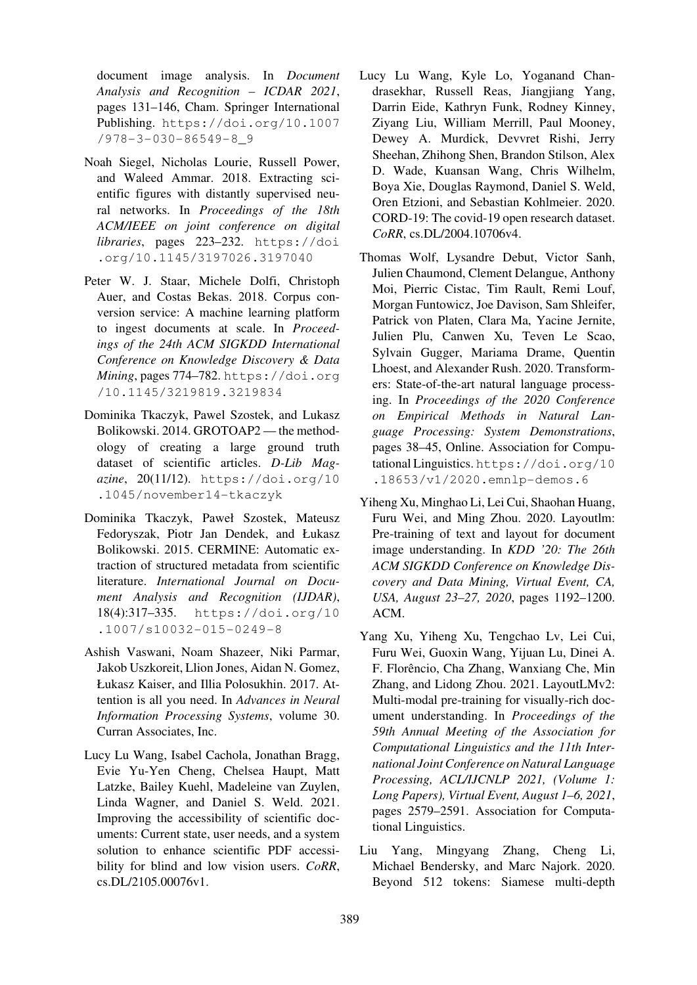document image analysis. In *Document Analysis and Recognition – ICDAR 2021*, pages 131–146, Cham. Springer International Publishing. https://doi.org/10.1007 /978-3-030-86549-8\_9

- <span id="page-13-7"></span>Noah Siegel, Nicholas Lourie, Russell Power, and Walee[d Ammar. 2018. Extracting sci](https://doi.org/10.1007/978-3-030-86549-8_9)[entific figures with distantly](https://doi.org/10.1007/978-3-030-86549-8_9) supervised neural networks. In *Proceedings of the 18th ACM/IEEE on joint conference on digital libraries*, pages 223–232. https://doi .org/10.1145/3197026.3197040
- <span id="page-13-6"></span><span id="page-13-5"></span>Peter W. J. Staar, Michele Dolfi, Christoph Auer, and Costas Bekas. 20[18. Corpus con](https://doi.org/10.1145/3197026.3197040)[version service: A machine learning platf](https://doi.org/10.1145/3197026.3197040)orm to ingest documents at scale. In *Proceedings of the 24th ACM SIGKDD International Conference on Knowledge Discovery & Data Mining*, pages 774–782. https://doi.org /10.1145/3219819.3219834
- <span id="page-13-11"></span>Dominika Tkaczyk, Pawel Szostek, and Lukasz Bolikowski. 2014. GRO[TOAP2 — the method](https://doi.org/10.1145/3219819.3219834)[ology of creating a large gro](https://doi.org/10.1145/3219819.3219834)und truth dataset of scientific articles. *D-Lib Magazine*, 20(11/12). https://doi.org/10 .1045/november14-tkaczyk
- <span id="page-13-10"></span><span id="page-13-4"></span>Dominika Tkaczyk, Paweł Szostek, Mateusz Fedoryszak, Piotr [Jan Dendek, and Łukasz](https://doi.org/10.1045/november14-tkaczyk) [Bolikowski. 2015. CERMINE: Auto](https://doi.org/10.1045/november14-tkaczyk)matic extraction of structured metadata from scientific literature. *International Journal on Document Analysis and Recognition (IJDAR)*, 18(4):317–335. https://doi.org/10 .1007/s10032-015-0249-8
- Ashish Vaswani, Noam Shazeer, Niki Parmar, Jakob Uszkoreit, [Llion Jones, Aidan N. Gomez,](https://doi.org/10.1007/s10032-015-0249-8) [Łukasz Kaiser, and Illia Polosukhin.](https://doi.org/10.1007/s10032-015-0249-8) 2017. Attention is all you need. In *Advances in Neural Information Processing Systems*, volume 30. Curran Associates, Inc.
- <span id="page-13-12"></span><span id="page-13-0"></span>Lucy Lu Wang, Isabel Cachola, Jonathan Bragg, Evie Yu-Yen Cheng, Chelsea Haupt, Matt Latzke, Bailey Kuehl, Madeleine van Zuylen, Linda Wagner, and Daniel S. Weld. 2021. Improving the accessibility of scientific documents: Current state, user needs, and a system solution to enhance scientific PDF accessibility for blind and low vision users. *CoRR*, cs.DL/2105.00076v1.
- Lucy Lu Wang, Kyle Lo, Yoganand Chandrasekhar, Russell Reas, Jiangjiang Yang, Darrin Eide, Kathryn Funk, Rodney Kinney, Ziyang Liu, William Merrill, Paul Mooney, Dewey A. Murdick, Devvret Rishi, Jerry Sheehan, Zhihong Shen, Brandon Stilson, Alex D. Wade, Kuansan Wang, Chris Wilhelm, Boya Xie, Douglas Raymond, Daniel S. Weld, Oren Etzioni, and Sebastian Kohlmeier. 2020. CORD-19: The covid-19 open research dataset. *CoRR*, cs.DL/2004.10706v4.
- <span id="page-13-13"></span>Thomas Wolf, Lysandre Debut, Victor Sanh, Julien Chaumond, Clement Delangue, Anthony Moi, Pierric Cistac, Tim Rault, Remi Louf, Morgan Funtowicz, Joe Davison, Sam Shleifer, Patrick von Platen, Clara Ma, Yacine Jernite, Julien Plu, Canwen Xu, Teven Le Scao, Sylvain Gugger, Mariama Drame, Quentin Lhoest, and Alexander Rush. 2020. Transformers: State-of-the-art natural language processing. In *Proceedings of the 2020 Conference on Empirical Methods in Natural Language Processing: System Demonstrations*, pages 38–45, Online. Association for Computational Linguistics. https://doi.org/10 .18653/v1/2020.emnlp-demos.6
- <span id="page-13-3"></span><span id="page-13-1"></span>Yiheng Xu, Minghao Li, Lei Cui, Shaohan Huang, Furu Wei, and Mi[ng Zhou. 2020. Layoutlm:](https://doi.org/10.18653/v1/2020.emnlp-demos.6) [Pre-training of text and layout for docum](https://doi.org/10.18653/v1/2020.emnlp-demos.6)ent image understanding. In *KDD '20: The 26th ACM SIGKDD Conference on Knowledge Discovery and Data Mining, Virtual Event, CA, USA, August 23–27, 2020*, pages 1192–1200. ACM.
- <span id="page-13-2"></span>Yang Xu, Yiheng Xu, Tengchao Lv, Lei Cui, Furu Wei, Guoxin Wang, Yijuan Lu, Dinei A. F. Florêncio, Cha Zhang, Wanxiang Che, Min Zhang, and Lidong Zhou. 2021. LayoutLMv2: Multi-modal pre-training for visually-rich document understanding. In *Proceedings of the 59th Annual Meeting of the Association for Computational Linguistics and the 11th International Joint Conference on Natural Language Processing, ACL/IJCNLP 2021, (Volume 1: Long Papers), Virtual Event, August 1–6, 2021*, pages 2579–2591. Association for Computational Linguistics.
- <span id="page-13-9"></span><span id="page-13-8"></span>Liu Yang, Mingyang Zhang, Cheng Li, Michael Bendersky, and Marc Najork. 2020. Beyond 512 tokens: Siamese multi-depth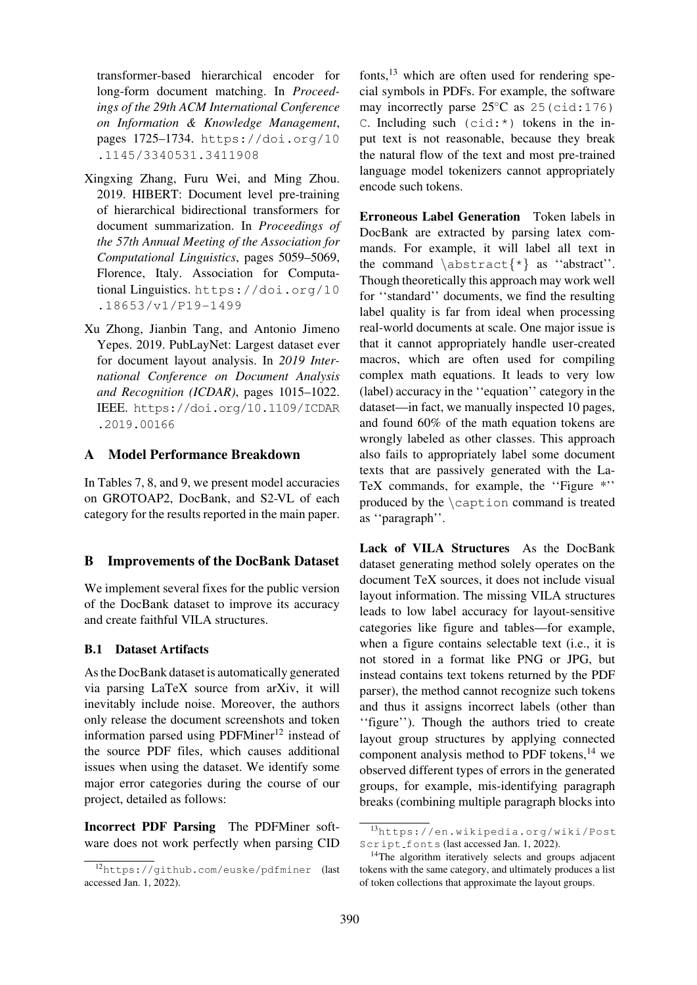transformer-based hierarchical encoder for long-form document matching. In *Proceedings of the 29th ACM International Conference on Information & Knowledge Management*, pages 1725–1734. https://doi.org/10 .1145/3340531.3411908

- <span id="page-14-2"></span>Xingxing Zhang, Furu Wei, and Ming Zhou. 2019. HIBERT: D[ocument level pre-training](https://doi.org/10.1145/3340531.3411908) [of hierarchical bidirectional tr](https://doi.org/10.1145/3340531.3411908)ansformers for document summarization. In *Proceedings of the 57th Annual Meeting of the Association for Computational Linguistics*, pages 5059–5069, Florence, Italy. Association for Computational Linguistics. https://doi.org/10 .18653/v1/P19-1499
- <span id="page-14-1"></span><span id="page-14-0"></span>Xu Zhong, Jianbin Tang, and Antonio Jimeno Yepes. 2019. Pub[LayNet: Largest dataset ever](https://doi.org/10.18653/v1/P19-1499) [for document layout analys](https://doi.org/10.18653/v1/P19-1499)is. In *2019 International Conference on Document Analysis and Recognition (ICDAR)*, pages 1015–1022. IEEE. https://doi.org/10.1109/ICDAR .2019.00166

# A Mo[del Performance Breakdown](https://doi.org/10.1109/ICDAR.2019.00166)

In [Tables 7, 8, and](https://doi.org/10.1109/ICDAR.2019.00166) 9, we present model accuracies on GROTOAP2, DocBank, and S2-VL of each category for the results reported in the main paper.

## B Improvements of the DocBank Dataset

We implement several fixes for the public version of the DocBank dataset to improve its accuracy and create faithful VILA structures.

## B.1 Dataset Artifacts

As the DocBank dataset is automatically generated via parsing LaTeX source from arXiv, it will inevitably include noise. Moreover, the authors only release the document screenshots and token information parsed using PDFMiner<sup>12</sup> instead of the source PDF files, which causes additional issues when using the dataset. We identify some major error categories during the [cou](#page-14-3)rse of our project, detailed as follows:

Incorrect PDF Parsing The PDFMiner software does not work perfectly when parsing CID fonts, $^{13}$  which are often used for rendering special symbols in PDFs. For example, the software may incorrectly parse  $25^{\circ}$ C as  $25$  (cid:176)  $C.$  Including such (cid: \*) tokens in the input t[ex](#page-14-4)t is not reasonable, because they break the natural flow of the text and most pre-trained language model tokenizers cannot appropriately encode such tokens.

Erroneous Label Generation Token labels in DocBank are extracted by parsing latex commands. For example, it will label all text in the command  $\ast \ast \ast \ast$  as "abstract". Though theoretically this approach may work well for ''standard'' documents, we find the resulting label quality is far from ideal when processing real-world documents at scale. One major issue is that it cannot appropriately handle user-created macros, which are often used for compiling complex math equations. It leads to very low (label) accuracy in the ''equation'' category in the dataset—in fact, we manually inspected 10 pages, and found 60% of the math equation tokens are wrongly labeled as other classes. This approach also fails to appropriately label some document texts that are passively generated with the La-TeX commands, for example, the ''Figure \*'' produced by the \caption command is treated as ''paragraph''.

Lack of VILA Structures As the DocBank dataset generating method solely operates on the document TeX sources, it does not include visual layout information. The missing VILA structures leads to low label accuracy for layout-sensitive categories like figure and tables—for example, when a figure contains selectable text (i.e., it is not stored in a format like PNG or JPG, but instead contains text tokens returned by the PDF parser), the method cannot recognize such tokens and thus it assigns incorrect labels (other than ''figure''). Though the authors tried to create layout group structures by applying connected component analysis method to PDF tokens, $^{14}$  we observed different types of errors in the generated groups, for example, mis-identifying paragraph breaks (combining multiple paragraph bloc[ks i](#page-14-5)nto

<span id="page-14-3"></span><sup>12</sup>https://github.com/euske/pdfminer (last accessed Jan. 1, 2022).

<sup>13</sup>https://en.wikipedia.org/wiki/Post Script fonts (last accessed Jan. 1, 2022).

<span id="page-14-5"></span><span id="page-14-4"></span><sup>&</sup>lt;sup>14</sup>The algorithm iteratively selects and groups adjacent tokens with the same category, and ultimately produces a list of t[oken collections that approximate the layout groups.](https://en.wikipedia.org/wiki/PostScript_fonts)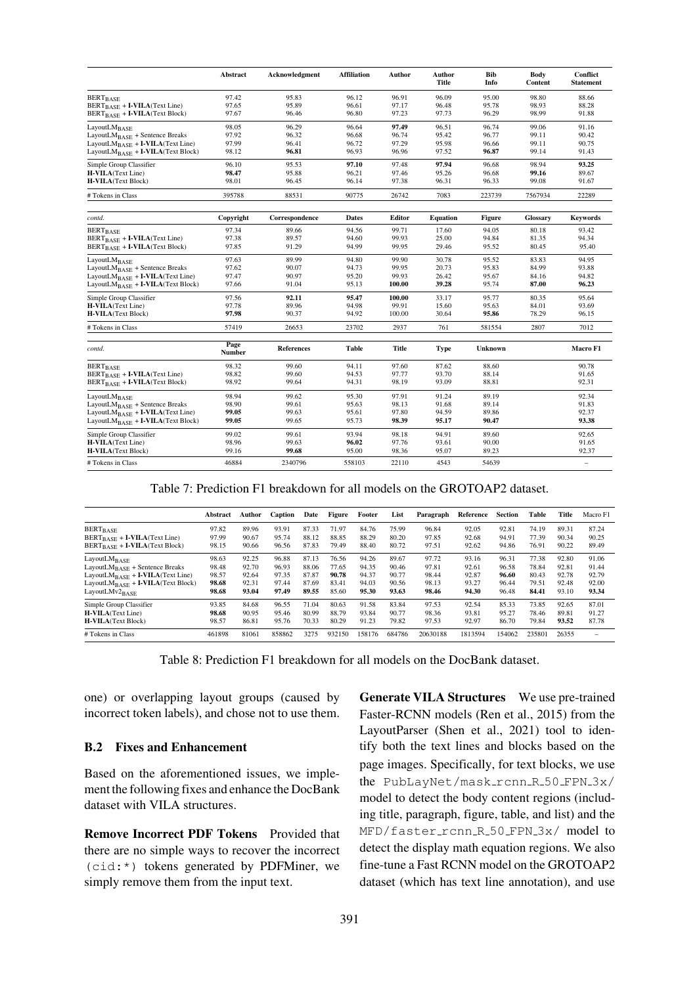|                                                | <b>Abstract</b> | Acknowledgment    | <b>Affiliation</b> | Author | Author<br>Title | <b>Bib</b><br>Info | Body<br>Content | <b>Conflict</b><br><b>Statement</b> |
|------------------------------------------------|-----------------|-------------------|--------------------|--------|-----------------|--------------------|-----------------|-------------------------------------|
| <b>BERT</b> BASE                               | 97.42           | 95.83             | 96.12              | 96.91  | 96.09           | 95.00              | 98.80           | 88.66                               |
| BERT <sub>BASE</sub> + I-VILA(Text Line)       | 97.65           | 95.89             | 96.61              | 97.17  | 96.48           | 95.78              | 98.93           | 88.28                               |
| BERT <sub>BASE</sub> + I-VILA(Text Block)      | 97.67           | 96.46             | 96.80              | 97.23  | 97.73           | 96.29              | 98.99           | 91.88                               |
| LayoutLMBASE                                   | 98.05           | 96.29             | 96.64              | 97.49  | 96.51           | 96.74              | 99.06           | 91.16                               |
| LayoutLM <sub>BASE</sub> + Sentence Breaks     | 97.92           | 96.32             | 96.68              | 96.74  | 95.42           | 96.77              | 99.11           | 90.42                               |
| LayoutL $M_{\rm BASE}$ + I-VILA(Text Line)     | 97.99           | 96.41             | 96.72              | 97.29  | 95.98           | 96.66              | 99.11           | 90.75                               |
| LayoutL $M_{\rm BASE}$ + I-VILA(Text Block)    | 98.12           | 96.81             | 96.93              | 96.96  | 97.52           | 96.87              | 99.14           | 91.43                               |
| Simple Group Classifier                        | 96.10           | 95.53             | 97.10              | 97.48  | 97.94           | 96.68              | 98.94           | 93.25                               |
| <b>H-VILA</b> (Text Line)                      | 98.47           | 95.88             | 96.21              | 97.46  | 95.26           | 96.68              | 99.16           | 89.67                               |
| <b>H-VILA</b> (Text Block)                     | 98.01           | 96.45             | 96.14              | 97.38  | 96.31           | 96.33              | 99.08           | 91.67                               |
| # Tokens in Class                              | 395788          | 88531             | 90775              | 26742  | 7083            | 223739             | 7567934         | 22289                               |
| contd.                                         | Copyright       | Correspondence    | <b>Dates</b>       | Editor | <b>Equation</b> | <b>Figure</b>      | <b>Glossary</b> | <b>Keywords</b>                     |
| <b>BERT</b> BASE                               | 97.34           | 89.66             | 94.56              | 99.71  | 17.60           | 94.05              | 80.18           | 93.42                               |
| BERT <sub>BASE</sub> + I-VILA(Text Line)       | 97.38           | 89.57             | 94.60              | 99.93  | 25.00           | 94.84              | 81.35           | 94.34                               |
| BERT <sub>BASE</sub> + I-VILA(Text Block)      | 97.85           | 91.29             | 94.99              | 99.95  | 29.46           | 95.52              | 80.45           | 95.40                               |
| LayoutLM <sub>BASE</sub>                       | 97.63           | 89.99             | 94.80              | 99.90  | 30.78           | 95.52              | 83.83           | 94.95                               |
| $LayoutLM_{BASE}$ + Sentence Breaks            | 97.62           | 90.07             | 94.73              | 99.95  | 20.73           | 95.83              | 84.99           | 93.88                               |
| LayoutL $M_{\rm BASE}$ + I-VILA(Text Line)     | 97.47           | 90.97             | 95.20              | 99.93  | 26.42           | 95.67              | 84.16           | 94.82                               |
| LayoutL $M_{\text{BASE}}$ + I-VILA(Text Block) | 97.66           | 91.04             | 95.13              | 100.00 | 39.28           | 95.74              | 87.00           | 96.23                               |
| Simple Group Classifier                        | 97.56           | 92.11             | 95.47              | 100.00 | 33.17           | 95.77              | 80.35           | 95.64                               |
| H-VILA(Text Line)                              | 97.78           | 89.96             | 94.98              | 99.91  | 15.60           | 95.63              | 84.01           | 93.69                               |
| <b>H-VILA</b> (Text Block)                     | 97.98           | 90.37             | 94.92              | 100.00 | 30.64           | 95.86              | 78.29           | 96.15                               |
| # Tokens in Class                              | 57419           | 26653             | 23702              | 2937   | 761             | 581554             | 2807            | 7012                                |
| contd.                                         | Page            | <b>References</b> | Table              | Title  | Type            | <b>Unknown</b>     |                 | Macro F1                            |
|                                                | Number          |                   |                    |        |                 |                    |                 |                                     |
| <b>BERT</b> BASE                               | 98.32           | 99.60             | 94.11              | 97.60  | 87.62           | 88.60              |                 | 90.78                               |
| $BERT_{BASE} + I-VILA(Text Line)$              | 98.82           | 99.60             | 94.53              | 97.77  | 93.70           | 88.14              |                 | 91.65                               |
| BERT <sub>BASE</sub> + I-VILA(Text Block)      | 98.92           | 99.64             | 94.31              | 98.19  | 93.09           | 88.81              |                 | 92.31                               |
| LayoutL $M_{\rm BASE}$                         | 98.94           | 99.62             | 95.30              | 97.91  | 91.24           | 89.19              |                 | 92.34                               |
| $LayoutLMBASE + sentence Breaks$               | 98.90           | 99.61             | 95.63              | 98.13  | 91.68           | 89.14              |                 | 91.83                               |
| LayoutL $M_{\rm BASE}$ + I-VILA(Text Line)     | 99.05           | 99.63             | 95.61              | 97.80  | 94.59           | 89.86              |                 | 92.37                               |
| LayoutL $M_{\text{BASE}}$ + I-VILA(Text Block) | 99.05           | 99.65             | 95.73              | 98.39  | 95.17           | 90.47              |                 | 93.38                               |
| Simple Group Classifier                        | 99.02           | 99.61             | 93.94              | 98.18  | 94.91           | 89.60              |                 | 92.65                               |
| <b>H-VILA</b> (Text Line)                      | 98.96           | 99.63             | 96.02              | 97.76  | 93.61           | 90.00              |                 | 91.65                               |
| <b>H-VILA</b> (Text Block)                     | 99.16           | 99.68             | 95.00              | 98.36  | 95.07           | 89.23              |                 | 92.37                               |
| # Tokens in Class                              | 46884           | 2340796           | 558103             | 22110  | 4543            | 54639              |                 | $\qquad \qquad -$                   |

Table 7: Prediction F1 breakdown for all models on the GROTOAP2 dataset.

|                                             | Abstract | Author | <b>Caption</b> | Date  | Figure | Footer | List   | Paragraph | Reference | <b>Section</b> | Table  | Title | Macro F1 |
|---------------------------------------------|----------|--------|----------------|-------|--------|--------|--------|-----------|-----------|----------------|--------|-------|----------|
| BERT <sub>BASE</sub>                        | 97.82    | 89.96  | 93.91          | 87.33 | 71.97  | 84.76  | 75.99  | 96.84     | 92.05     | 92.81          | 74.19  | 89.31 | 87.24    |
| $BERT_{BASE} + I-VILA(Text Line)$           | 97.99    | 90.67  | 95.74          | 88.12 | 88.85  | 88.29  | 80.20  | 97.85     | 92.68     | 94.91          | 77.39  | 90.34 | 90.25    |
| $BERT_{BASE} + I-VILA(Text Block)$          | 98.15    | 90.66  | 96.56          | 87.83 | 79.49  | 88.40  | 80.72  | 97.51     | 92.62     | 94.86          | 76.91  | 90.22 | 89.49    |
| LayoutL $M_{\rm BASE}$                      | 98.63    | 92.25  | 96.88          | 87.13 | 76.56  | 94.26  | 89.67  | 97.72     | 93.16     | 96.31          | 77.38  | 92.80 | 91.06    |
| LayoutL $M_{\rm BASE}$ + Sentence Breaks    | 98.48    | 92.70  | 96.93          | 88.06 | 77.65  | 94.35  | 90.46  | 97.81     | 92.61     | 96.58          | 78.84  | 92.81 | 91.44    |
| LayoutL $M_{\rm RASE}$ + I-VILA(Text Line)  | 98.57    | 92.64  | 97.35          | 87.87 | 90.78  | 94.37  | 90.77  | 98.44     | 92.87     | 96.60          | 80.43  | 92.78 | 92.79    |
| LayoutL $M_{\rm BASE}$ + I-VILA(Text Block) | 98.68    | 92.31  | 97.44          | 87.69 | 83.41  | 94.03  | 90.56  | 98.13     | 93.27     | 96.44          | 79.51  | 92.48 | 92.00    |
| LayoutLMv2 $_{\rm RASE}$                    | 98.68    | 93.04  | 97.49          | 89.55 | 85.60  | 95.30  | 93.63  | 98.46     | 94.30     | 96.48          | 84.41  | 93.10 | 93.34    |
| Simple Group Classifier                     | 93.85    | 84.68  | 96.55          | 71.04 | 80.63  | 91.58  | 83.84  | 97.53     | 92.54     | 85.33          | 73.85  | 92.65 | 87.01    |
| <b>H-VILA</b> (Text Line)                   | 98.68    | 90.95  | 95.46          | 80.99 | 88.79  | 93.84  | 90.77  | 98.36     | 93.81     | 95.27          | 78.46  | 89.81 | 91.27    |
| <b>H-VILA</b> (Text Block)                  | 98.57    | 86.81  | 95.76          | 70.33 | 80.29  | 91.23  | 79.82  | 97.53     | 92.97     | 86.70          | 79.84  | 93.52 | 87.78    |
| # Tokens in Class                           | 461898   | 81061  | 858862         | 3275  | 932150 | 158176 | 684786 | 20630188  | 1813594   | 154062         | 235801 | 26355 |          |

Table 8: Prediction F1 breakdown for all models on the DocBank dataset.

one) or overlapping layout groups (caused by incorrect token labels), and chose not to use them.

# B.2 Fixes and Enhancement

Based on the aforementioned issues, we implement the following fixes and enhance the DocBank dataset with VILA structures.

Remove Incorrect PDF Tokens Provided that there are no simple ways to recover the incorrect (cid:\*) tokens generated by PDFMiner, we simply remove them from the input text.

Generate VILA Structures We use pre-trained Faster-RCNN models (Ren et al., 2015) from the LayoutParser (Shen et al., 2021) tool to identify both the text lines and blocks based on the page images. Specifica[lly, for text block](#page-12-12)s, we use the PubLayN[et/mask](#page-12-3)\_r[cnn](#page-12-3)\_R\_50\_FPN\_3x/ model to detect the body content regions (including title, paragraph, figure, table, and list) and the MFD/faster\_rcnn\_R\_50\_FPN\_3x/ model to detect the display math equation regions. We also fine-tune a Fast RCNN model on the GROTOAP2 dataset (which has text line annotation), and use